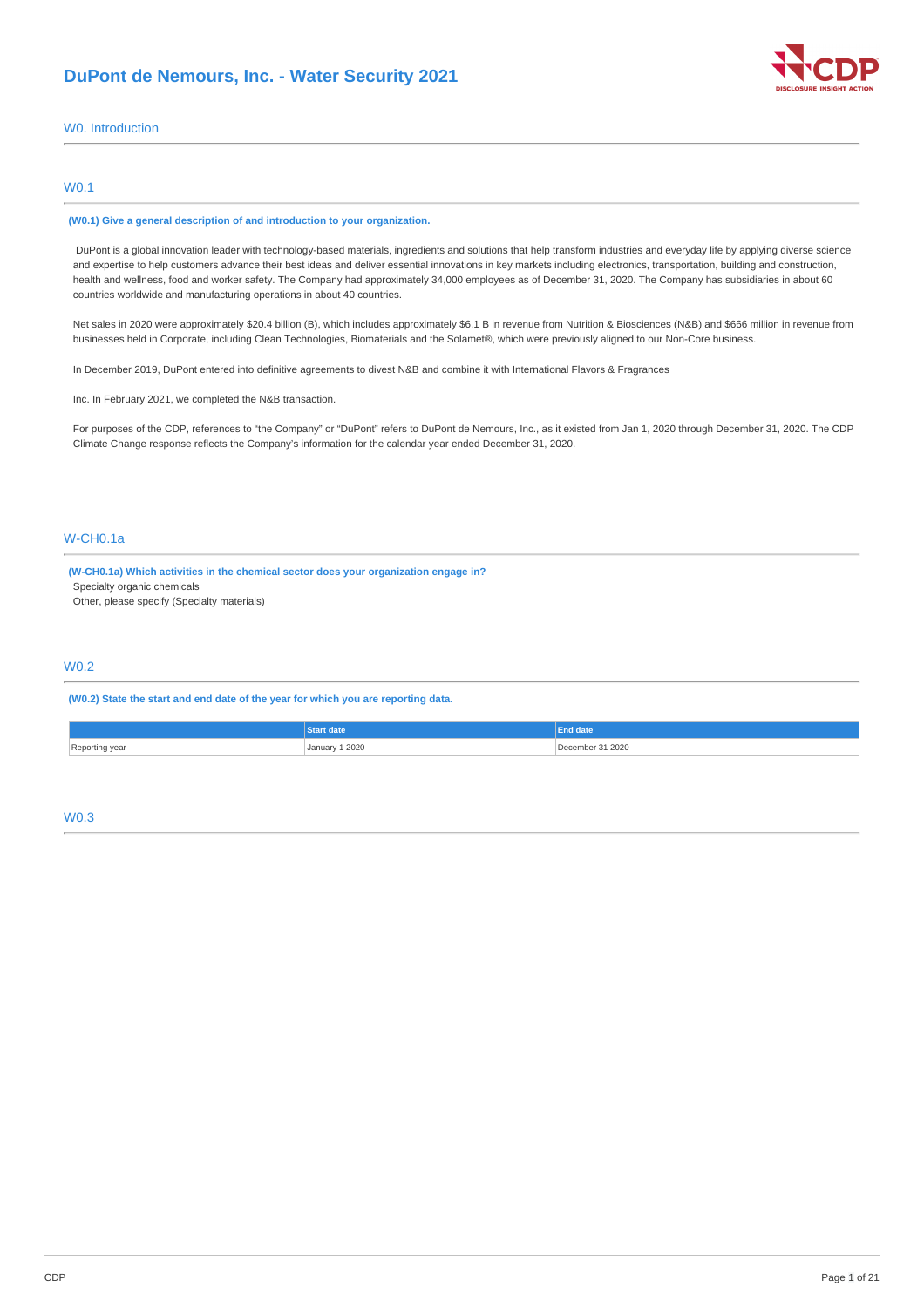

# W0. Introduction

# W0.1

#### **(W0.1) Give a general description of and introduction to your organization.**

DuPont is a global innovation leader with technology-based materials, ingredients and solutions that help transform industries and everyday life by applying diverse science and expertise to help customers advance their best ideas and deliver essential innovations in key markets including electronics, transportation, building and construction, health and wellness, food and worker safety. The Company had approximately 34,000 employees as of December 31, 2020. The Company has subsidiaries in about 60 countries worldwide and manufacturing operations in about 40 countries.

Net sales in 2020 were approximately \$20.4 billion (B), which includes approximately \$6.1 B in revenue from Nutrition & Biosciences (N&B) and \$666 million in revenue from businesses held in Corporate, including Clean Technologies, Biomaterials and the Solamet®, which were previously aligned to our Non-Core business.

In December 2019, DuPont entered into definitive agreements to divest N&B and combine it with International Flavors & Fragrances

Inc. In February 2021, we completed the N&B transaction.

For purposes of the CDP, references to "the Company" or "DuPont" refers to DuPont de Nemours, Inc., as it existed from Jan 1, 2020 through December 31, 2020. The CDP Climate Change response reflects the Company's information for the calendar year ended December 31, 2020.

# W-CH0.1a

**(W-CH0.1a) Which activities in the chemical sector does your organization engage in?** Specialty organic chemicals

Other, please specify (Specialty materials)

# W0.2

**(W0.2) State the start and end date of the year for which you are reporting data.**

|                | <b>itart date</b>     | End date |
|----------------|-----------------------|----------|
| Reporting year | <b>January 1 2020</b> | 31 2020  |

### W0.3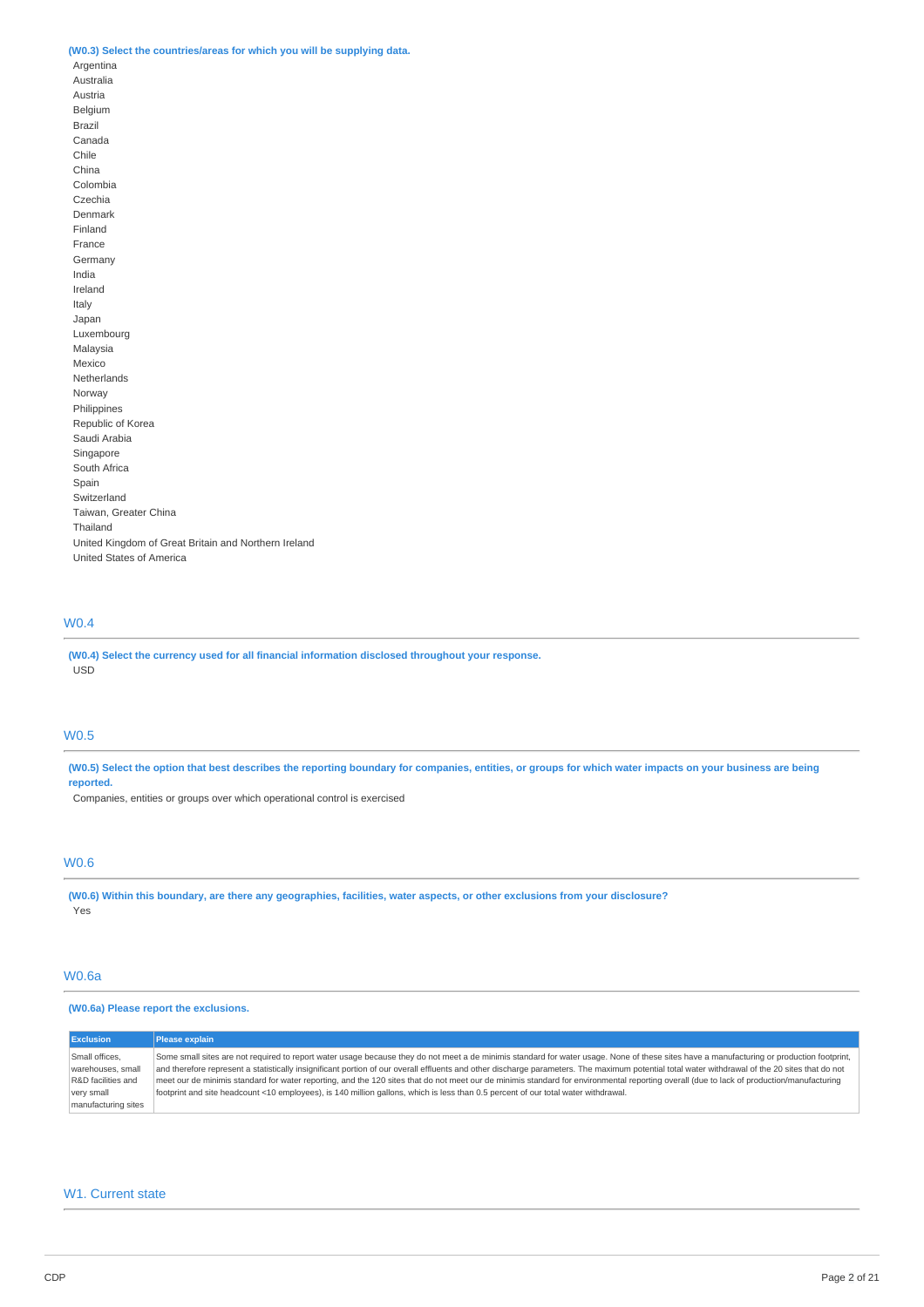### **(W0.3) Select the countries/areas for which you will be supplying data.**

Argentina Australia Austria Belgium Brazil Canada Chile China Colombia Czechia Denmark Finland France Germany India Ireland Italy Japan Luxembourg Malaysia Mexico Netherlands Norway Philippines Republic of Korea Saudi Arabia Singapore South Africa Spain Switzerland Taiwan, Greater China Thailand United Kingdom of Great Britain and Northern Ireland United States of America

# W0.4

**(W0.4) Select the currency used for all financial information disclosed throughout your response.** USD

### W0.5

(W0.5) Select the option that best describes the reporting boundary for companies, entities, or groups for which water impacts on your business are being **reported.**

Companies, entities or groups over which operational control is exercised

# W0.6

(W0.6) Within this boundary, are there any geographies, facilities, water aspects, or other exclusions from your disclosure? **Yes** 

# W0.6a

### **(W0.6a) Please report the exclusions.**

| <b>Exclusion</b>    | Please explain                                                                                                                                                                                  |
|---------------------|-------------------------------------------------------------------------------------------------------------------------------------------------------------------------------------------------|
| Small offices,      | Some small sites are not required to report water usage because they do not meet a de minimis standard for water usage. None of these sites have a manufacturing or production footprint,       |
| warehouses, small   | and therefore represent a statistically insignificant portion of our overall effluents and other discharge parameters. The maximum potential total water withdrawal of the 20 sites that do not |
| R&D facilities and  | meet our de minimis standard for water reporting, and the 120 sites that do not meet our de minimis standard for environmental reporting overall (due to lack of production/manufacturing       |
| very small          | footprint and site headcount <10 employees), is 140 million gallons, which is less than 0.5 percent of our total water withdrawal.                                                              |
| manufacturing sites |                                                                                                                                                                                                 |

# W1. Current state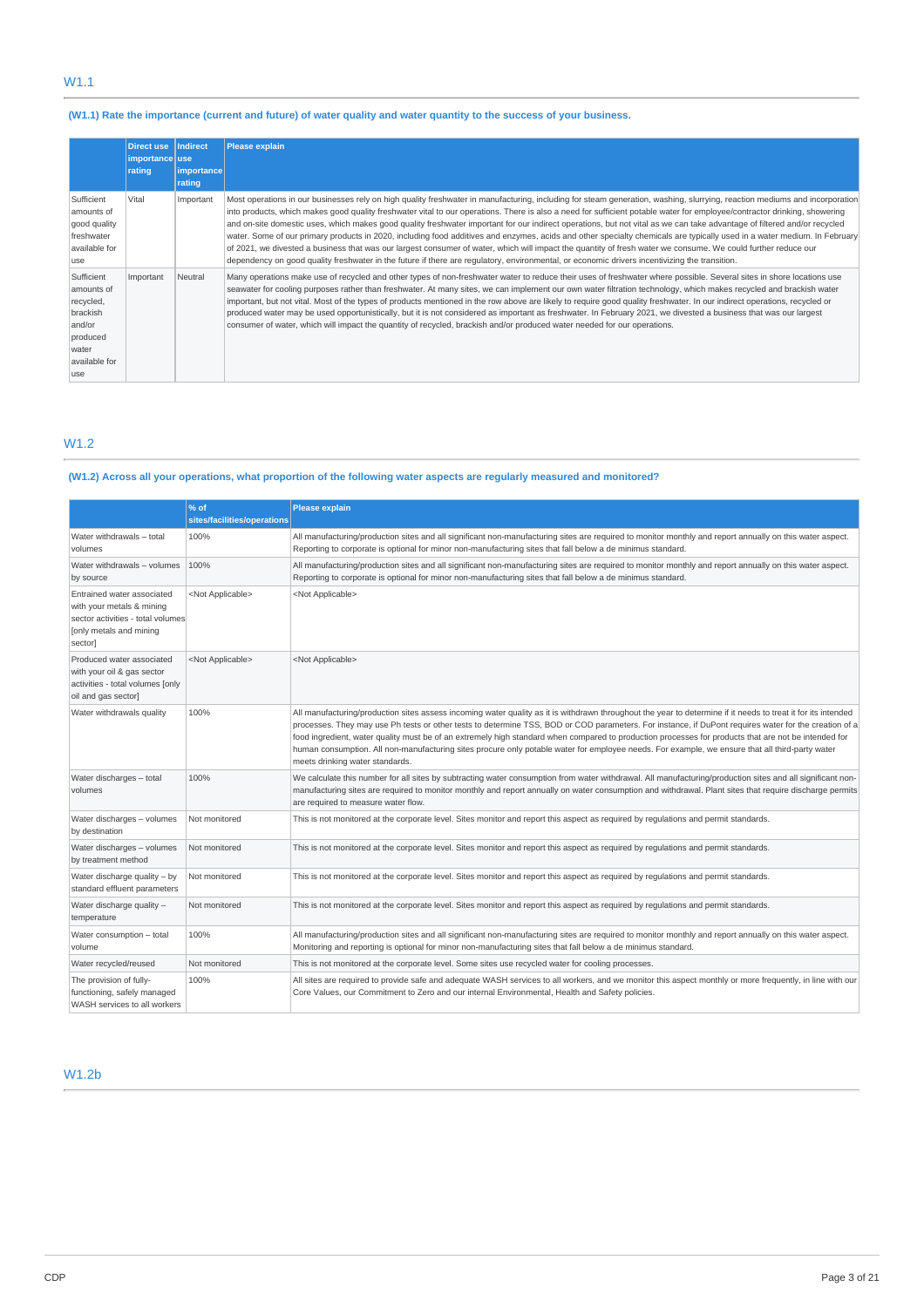# W1.1

# (W1.1) Rate the importance (current and future) of water quality and water quantity to the success of your business.

|                                                                                                           | <b>Direct use</b><br>importance use<br>rating | <b>Indirect</b><br>importance<br>rating | <b>Please explain</b>                                                                                                                                                                                                                                                                                                                                                                                                                                                                                                                                                                                                                                                                                                                                                                                                                                                                                                                                                                                                             |
|-----------------------------------------------------------------------------------------------------------|-----------------------------------------------|-----------------------------------------|-----------------------------------------------------------------------------------------------------------------------------------------------------------------------------------------------------------------------------------------------------------------------------------------------------------------------------------------------------------------------------------------------------------------------------------------------------------------------------------------------------------------------------------------------------------------------------------------------------------------------------------------------------------------------------------------------------------------------------------------------------------------------------------------------------------------------------------------------------------------------------------------------------------------------------------------------------------------------------------------------------------------------------------|
| Sufficient<br>amounts of<br>good quality<br>freshwater<br>available for<br>use                            | Vital                                         | Important                               | Most operations in our businesses rely on high quality freshwater in manufacturing, including for steam generation, washing, slurrying, reaction mediums and incorporation<br>into products, which makes good quality freshwater vital to our operations. There is also a need for sufficient potable water for employee/contractor drinking, showering<br>and on-site domestic uses, which makes good quality freshwater important for our indirect operations, but not vital as we can take advantage of filtered and/or recycled<br>water. Some of our primary products in 2020, including food additives and enzymes, acids and other specialty chemicals are typically used in a water medium. In February<br>of 2021, we divested a business that was our largest consumer of water, which will impact the quantity of fresh water we consume. We could further reduce our<br>dependency on good quality freshwater in the future if there are regulatory, environmental, or economic drivers incentivizing the transition. |
| Sufficient<br>amounts of<br>recycled,<br>brackish<br>and/or<br>produced<br>water<br>available for<br>luse | Important                                     | Neutral                                 | Many operations make use of recycled and other types of non-freshwater water to reduce their uses of freshwater where possible. Several sites in shore locations use<br>seawater for cooling purposes rather than freshwater. At many sites, we can implement our own water filtration technology, which makes recycled and brackish water<br>important, but not vital. Most of the types of products mentioned in the row above are likely to require good quality freshwater. In our indirect operations, recycled or<br>produced water may be used opportunistically, but it is not considered as important as freshwater. In February 2021, we divested a business that was our largest<br>consumer of water, which will impact the quantity of recycled, brackish and/or produced water needed for our operations.                                                                                                                                                                                                           |

# W1.2

# (W1.2) Across all your operations, what proportion of the following water aspects are regularly measured and monitored?

|                                                                                                                                    | % of<br>sites/facilities/operations | <b>Please explain</b>                                                                                                                                                                                                                                                                                                                                                                                                                                                                                                                                                                                                                                                |
|------------------------------------------------------------------------------------------------------------------------------------|-------------------------------------|----------------------------------------------------------------------------------------------------------------------------------------------------------------------------------------------------------------------------------------------------------------------------------------------------------------------------------------------------------------------------------------------------------------------------------------------------------------------------------------------------------------------------------------------------------------------------------------------------------------------------------------------------------------------|
| Water withdrawals - total<br>volumes                                                                                               | 100%                                | All manufacturing/production sites and all significant non-manufacturing sites are required to monitor monthly and report annually on this water aspect.<br>Reporting to corporate is optional for minor non-manufacturing sites that fall below a de minimus standard.                                                                                                                                                                                                                                                                                                                                                                                              |
| Water withdrawals - volumes<br>by source                                                                                           | 100%                                | All manufacturing/production sites and all significant non-manufacturing sites are required to monitor monthly and report annually on this water aspect.<br>Reporting to corporate is optional for minor non-manufacturing sites that fall below a de minimus standard.                                                                                                                                                                                                                                                                                                                                                                                              |
| Entrained water associated<br>with your metals & mining<br>sector activities - total volumes<br>[only metals and mining<br>sector] | <not applicable=""></not>           | <not applicable=""></not>                                                                                                                                                                                                                                                                                                                                                                                                                                                                                                                                                                                                                                            |
| Produced water associated<br>with your oil & gas sector<br>activities - total volumes [only<br>oil and gas sector]                 | <not applicable=""></not>           | <not applicable=""></not>                                                                                                                                                                                                                                                                                                                                                                                                                                                                                                                                                                                                                                            |
| Water withdrawals quality                                                                                                          | 100%                                | All manufacturing/production sites assess incoming water quality as it is withdrawn throughout the year to determine if it needs to treat it for its intended<br>processes. They may use Ph tests or other tests to determine TSS, BOD or COD parameters. For instance, if DuPont requires water for the creation of a<br>food ingredient, water quality must be of an extremely high standard when compared to production processes for products that are not be intended for<br>human consumption. All non-manufacturing sites procure only potable water for employee needs. For example, we ensure that all third-party water<br>meets drinking water standards. |
| Water discharges - total<br>volumes                                                                                                | 100%                                | We calculate this number for all sites by subtracting water consumption from water withdrawal. All manufacturing/production sites and all significant non-<br>manufacturing sites are required to monitor monthly and report annually on water consumption and withdrawal. Plant sites that require discharge permits<br>are required to measure water flow.                                                                                                                                                                                                                                                                                                         |
| Water discharges - volumes<br>by destination                                                                                       | Not monitored                       | This is not monitored at the corporate level. Sites monitor and report this aspect as required by requlations and permit standards.                                                                                                                                                                                                                                                                                                                                                                                                                                                                                                                                  |
| Water discharges - volumes<br>by treatment method                                                                                  | Not monitored                       | This is not monitored at the corporate level. Sites monitor and report this aspect as required by requlations and permit standards.                                                                                                                                                                                                                                                                                                                                                                                                                                                                                                                                  |
| Water discharge quality - by<br>standard effluent parameters                                                                       | Not monitored                       | This is not monitored at the corporate level. Sites monitor and report this aspect as required by regulations and permit standards.                                                                                                                                                                                                                                                                                                                                                                                                                                                                                                                                  |
| Water discharge quality -<br>temperature                                                                                           | Not monitored                       | This is not monitored at the corporate level. Sites monitor and report this aspect as required by requlations and permit standards.                                                                                                                                                                                                                                                                                                                                                                                                                                                                                                                                  |
| Water consumption - total<br>volume                                                                                                | 100%                                | All manufacturing/production sites and all significant non-manufacturing sites are required to monitor monthly and report annually on this water aspect.<br>Monitoring and reporting is optional for minor non-manufacturing sites that fall below a de minimus standard.                                                                                                                                                                                                                                                                                                                                                                                            |
| Water recycled/reused                                                                                                              | Not monitored                       | This is not monitored at the corporate level. Some sites use recycled water for cooling processes.                                                                                                                                                                                                                                                                                                                                                                                                                                                                                                                                                                   |
| The provision of fully-<br>functioning, safely managed<br>WASH services to all workers                                             | 100%                                | All sites are required to provide safe and adequate WASH services to all workers, and we monitor this aspect monthly or more frequently, in line with our<br>Core Values, our Commitment to Zero and our internal Environmental, Health and Safety policies.                                                                                                                                                                                                                                                                                                                                                                                                         |

# W1.2b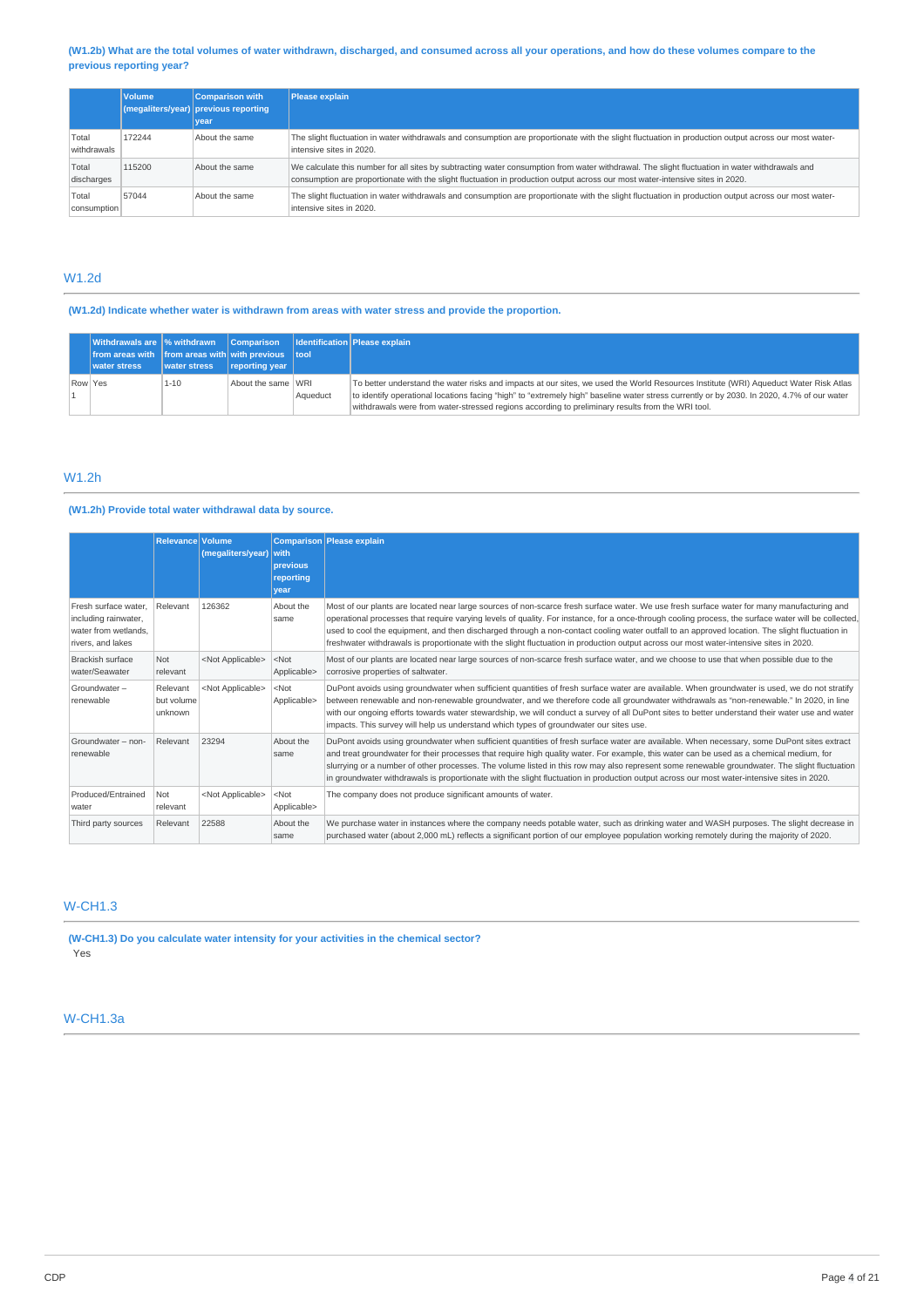### (W1.2b) What are the total volumes of water withdrawn, discharged, and consumed across all your operations, and how do these volumes compare to the **previous reporting year?**

|                      | <b>Volume</b> | <b>Comparison with</b><br>$\frac{1}{2}$ (megaliters/year) previous reporting<br>vear | Please explain                                                                                                                                                                                                                                                                  |
|----------------------|---------------|--------------------------------------------------------------------------------------|---------------------------------------------------------------------------------------------------------------------------------------------------------------------------------------------------------------------------------------------------------------------------------|
| Total<br>withdrawals | 172244        | About the same                                                                       | The slight fluctuation in water withdrawals and consumption are proportionate with the slight fluctuation in production output across our most water-<br>intensive sites in 2020.                                                                                               |
| Total<br>discharges  | 115200        | About the same                                                                       | We calculate this number for all sites by subtracting water consumption from water withdrawal. The slight fluctuation in water withdrawals and<br>consumption are proportionate with the slight fluctuation in production output across our most water-intensive sites in 2020. |
| Total<br>consumption | 57044         | About the same                                                                       | The slight fluctuation in water withdrawals and consumption are proportionate with the slight fluctuation in production output across our most water-<br>intensive sites in 2020.                                                                                               |

# W1.2d

**(W1.2d) Indicate whether water is withdrawn from areas with water stress and provide the proportion.**

|         | Withdrawals are % withdrawn Comparison Identification Please explain<br>from areas with from areas with with previous tool<br>water stress | <b>Water stress</b> | reporting year     |          |                                                                                                                                                                                                                                                                                                                                                                                        |
|---------|--------------------------------------------------------------------------------------------------------------------------------------------|---------------------|--------------------|----------|----------------------------------------------------------------------------------------------------------------------------------------------------------------------------------------------------------------------------------------------------------------------------------------------------------------------------------------------------------------------------------------|
| Row Yes |                                                                                                                                            | $1 - 10$            | About the same WRI | Aqueduct | To better understand the water risks and impacts at our sites, we used the World Resources Institute (WRI) Aqueduct Water Risk Atlas<br>to identify operational locations facing "high" to "extremely high" baseline water stress currently or by 2030. In 2020, 4.7% of our water<br>withdrawals were from water-stressed regions according to preliminary results from the WRI tool. |

# W1.2h

# **(W1.2h) Provide total water withdrawal data by source.**

|                                                                                           | Relevance Volume                  | (megaliters/year)         | with<br>previous<br>reporting<br>vear | Comparison Please explain                                                                                                                                                                                                                                                                                                                                                                                                                                                                                                                                                                       |
|-------------------------------------------------------------------------------------------|-----------------------------------|---------------------------|---------------------------------------|-------------------------------------------------------------------------------------------------------------------------------------------------------------------------------------------------------------------------------------------------------------------------------------------------------------------------------------------------------------------------------------------------------------------------------------------------------------------------------------------------------------------------------------------------------------------------------------------------|
| Fresh surface water.<br>including rainwater,<br>water from wetlands.<br>rivers, and lakes | Relevant                          | 126362                    | About the<br>same                     | Most of our plants are located near large sources of non-scarce fresh surface water. We use fresh surface water for many manufacturing and<br>operational processes that require varying levels of quality. For instance, for a once-through cooling process, the surface water will be collected,<br>used to cool the equipment, and then discharged through a non-contact cooling water outfall to an approved location. The slight fluctuation in<br>freshwater withdrawals is proportionate with the slight fluctuation in production output across our most water-intensive sites in 2020. |
| <b>Brackish surface</b><br>water/Seawater                                                 | <b>Not</b><br>relevant            | <not applicable=""></not> | $<$ Not<br>Applicable>                | Most of our plants are located near large sources of non-scarce fresh surface water, and we choose to use that when possible due to the<br>corrosive properties of saltwater.                                                                                                                                                                                                                                                                                                                                                                                                                   |
| Groundwater-<br>renewable                                                                 | Relevant<br>but volume<br>unknown | <not applicable=""></not> | $<$ Not<br>Applicable>                | DuPont avoids using groundwater when sufficient quantities of fresh surface water are available. When groundwater is used, we do not stratify<br>between renewable and non-renewable groundwater, and we therefore code all groundwater withdrawals as "non-renewable." In 2020, in line<br>with our ongoing efforts towards water stewardship, we will conduct a survey of all DuPont sites to better understand their water use and water<br>impacts. This survey will help us understand which types of groundwater our sites use.                                                           |
| Groundwater - non-<br>renewable                                                           | Relevant                          | 23294                     | About the<br>same                     | DuPont avoids using groundwater when sufficient quantities of fresh surface water are available. When necessary, some DuPont sites extract<br>and treat groundwater for their processes that require high quality water. For example, this water can be used as a chemical medium, for<br>slurrying or a number of other processes. The volume listed in this row may also represent some renewable groundwater. The slight fluctuation<br>in groundwater withdrawals is proportionate with the slight fluctuation in production output across our most water-intensive sites in 2020.          |
| Produced/Entrained<br>water                                                               | Not<br>relevant                   | <not applicable=""></not> | $<$ Not<br>Applicable>                | The company does not produce significant amounts of water.                                                                                                                                                                                                                                                                                                                                                                                                                                                                                                                                      |
| Third party sources                                                                       | Relevant                          | 22588                     | About the<br>same                     | We purchase water in instances where the company needs potable water, such as drinking water and WASH purposes. The slight decrease in<br>purchased water (about 2,000 mL) reflects a significant portion of our employee population working remotely during the majority of 2020.                                                                                                                                                                                                                                                                                                              |

# W-CH1.3

**(W-CH1.3) Do you calculate water intensity for your activities in the chemical sector?** Yes

# W-CH1.3a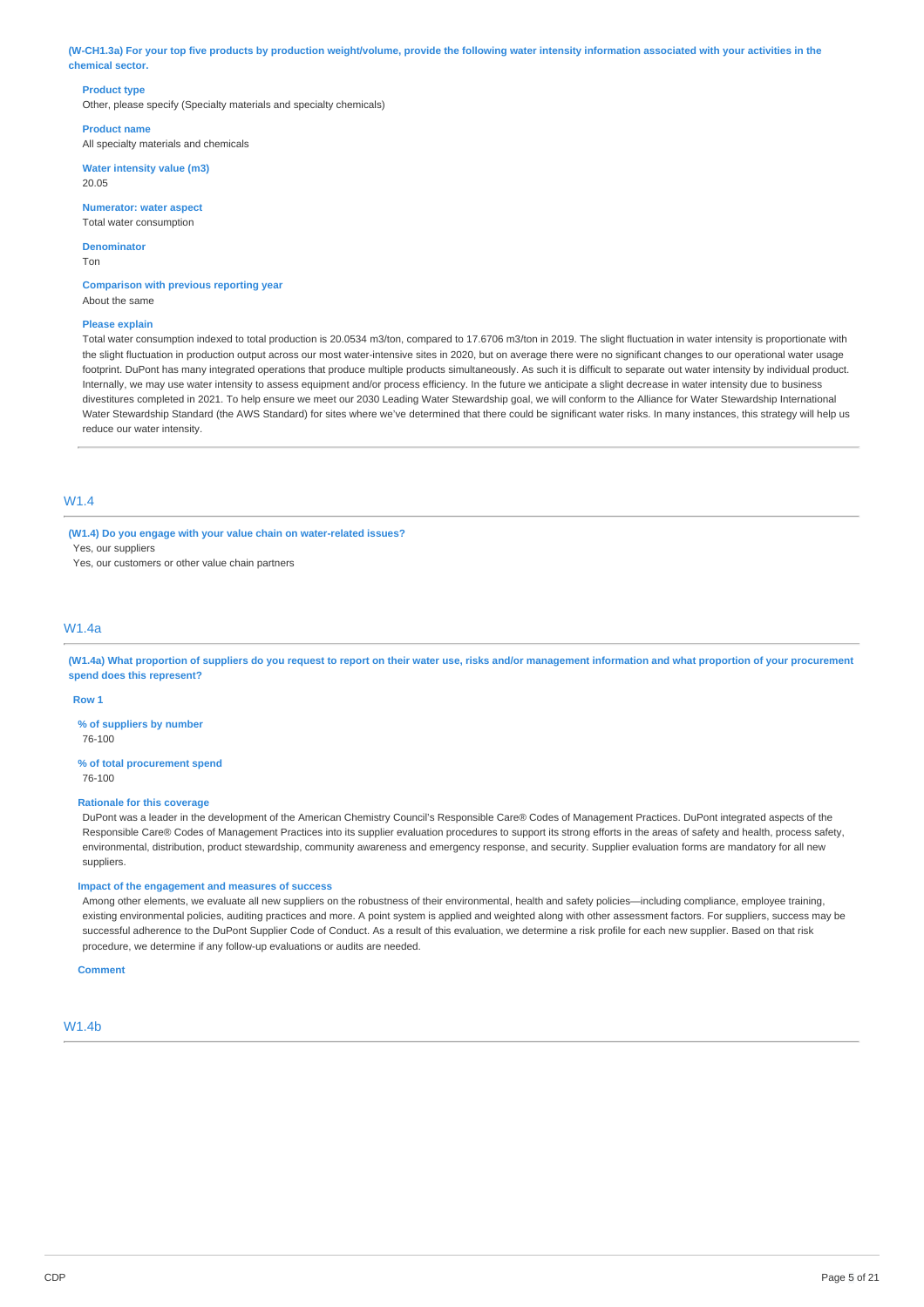(W-CH1.3a) For your top five products by production weight/volume, provide the following water intensity information associated with your activities in the **chemical sector.**

### **Product type**

Other, please specify (Specialty materials and specialty chemicals)

**Product name** All specialty materials and chemicals

**Water intensity value (m3)** 20.05

**Numerator: water aspect** Total water consumption

**Denominator** Ton

**Comparison with previous reporting year** About the same

#### **Please explain**

Total water consumption indexed to total production is 20.0534 m3/ton, compared to 17.6706 m3/ton in 2019. The slight fluctuation in water intensity is proportionate with the slight fluctuation in production output across our most water-intensive sites in 2020, but on average there were no significant changes to our operational water usage footprint. DuPont has many integrated operations that produce multiple products simultaneously. As such it is difficult to separate out water intensity by individual product. Internally, we may use water intensity to assess equipment and/or process efficiency. In the future we anticipate a slight decrease in water intensity due to business divestitures completed in 2021. To help ensure we meet our 2030 Leading Water Stewardship goal, we will conform to the Alliance for Water Stewardship International Water Stewardship Standard (the AWS Standard) for sites where we've determined that there could be significant water risks. In many instances, this strategy will help us reduce our water intensity.

# W1.4

**(W1.4) Do you engage with your value chain on water-related issues?** Yes, our suppliers

Yes, our customers or other value chain partners

### W1.4a

(W1.4a) What proportion of suppliers do you request to report on their water use, risks and/or management information and what proportion of your procurement **spend does this represent?**

#### **Row 1**

**% of suppliers by number** 76-100

**% of total procurement spend** 76-100

#### **Rationale for this coverage**

DuPont was a leader in the development of the American Chemistry Council's Responsible Care® Codes of Management Practices. DuPont integrated aspects of the Responsible Care® Codes of Management Practices into its supplier evaluation procedures to support its strong efforts in the areas of safety and health, process safety, environmental, distribution, product stewardship, community awareness and emergency response, and security. Supplier evaluation forms are mandatory for all new suppliers.

#### **Impact of the engagement and measures of success**

Among other elements, we evaluate all new suppliers on the robustness of their environmental, health and safety policies—including compliance, employee training, existing environmental policies, auditing practices and more. A point system is applied and weighted along with other assessment factors. For suppliers, success may be successful adherence to the DuPont Supplier Code of Conduct. As a result of this evaluation, we determine a risk profile for each new supplier. Based on that risk procedure, we determine if any follow-up evaluations or audits are needed.

**Comment**

### W1.4b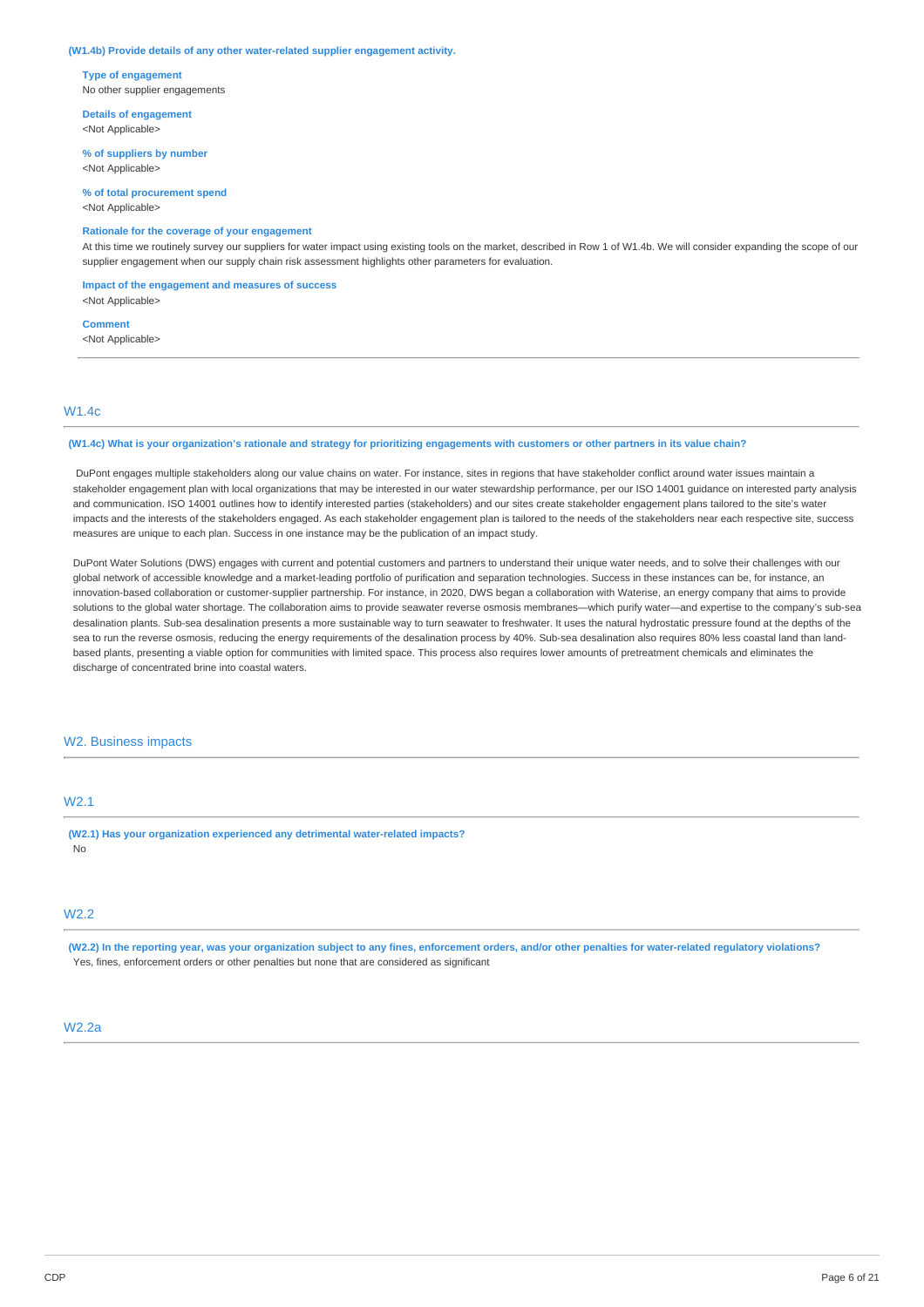#### **(W1.4b) Provide details of any other water-related supplier engagement activity.**

**Type of engagement** No other supplier engagements

**Details of engagement** <Not Applicable>

**% of suppliers by number** <Not Applicable>

**% of total procurement spend** <Not Applicable>

### **Rationale for the coverage of your engagement**

At this time we routinely survey our suppliers for water impact using existing tools on the market, described in Row 1 of W1.4b. We will consider expanding the scope of our supplier engagement when our supply chain risk assessment highlights other parameters for evaluation.

**Impact of the engagement and measures of success**

<Not Applicable>

**Comment** <Not Applicable>

### W1.4c

#### (W1.4c) What is your organization's rationale and strategy for prioritizing engagements with customers or other partners in its value chain?

DuPont engages multiple stakeholders along our value chains on water. For instance, sites in regions that have stakeholder conflict around water issues maintain a stakeholder engagement plan with local organizations that may be interested in our water stewardship performance, per our ISO 14001 guidance on interested party analysis and communication. ISO 14001 outlines how to identify interested parties (stakeholders) and our sites create stakeholder engagement plans tailored to the site's water impacts and the interests of the stakeholders engaged. As each stakeholder engagement plan is tailored to the needs of the stakeholders near each respective site, success measures are unique to each plan. Success in one instance may be the publication of an impact study.

DuPont Water Solutions (DWS) engages with current and potential customers and partners to understand their unique water needs, and to solve their challenges with our global network of accessible knowledge and a market-leading portfolio of purification and separation technologies. Success in these instances can be, for instance, an innovation-based collaboration or customer-supplier partnership. For instance, in 2020, DWS began a collaboration with Waterise, an energy company that aims to provide solutions to the global water shortage. The collaboration aims to provide seawater reverse osmosis membranes—which purify water—and expertise to the company's sub-sea desalination plants. Sub-sea desalination presents a more sustainable way to turn seawater to freshwater. It uses the natural hydrostatic pressure found at the depths of the sea to run the reverse osmosis, reducing the energy requirements of the desalination process by 40%. Sub-sea desalination also requires 80% less coastal land than landbased plants, presenting a viable option for communities with limited space. This process also requires lower amounts of pretreatment chemicals and eliminates the discharge of concentrated brine into coastal waters.

### W2. Business impacts

# W2.1

**(W2.1) Has your organization experienced any detrimental water-related impacts?** No

### W2.2

(W2.2) In the reporting year, was your organization subject to any fines, enforcement orders, and/or other penalties for water-related regulatory violations? Yes, fines, enforcement orders or other penalties but none that are considered as significant

## W2.2a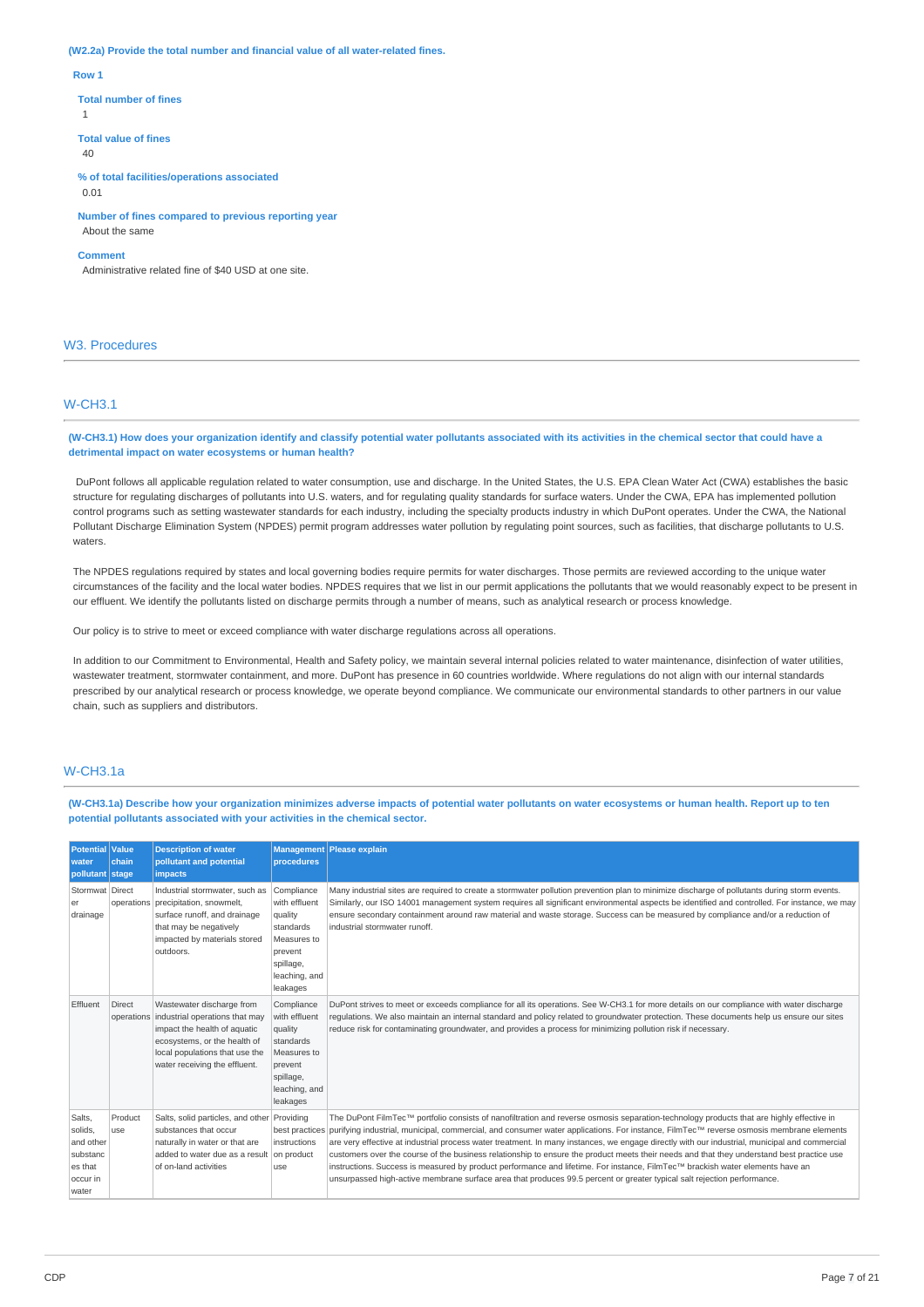**(W2.2a) Provide the total number and financial value of all water-related fines.**

#### **Row 1**

#### **Total number of fines**

1

**Total value of fines**  $40$ 

**% of total facilities/operations associated** 0.01

**Number of fines compared to previous reporting year** About the same

#### **Comment**

Administrative related fine of \$40 USD at one site.

# W3. Procedures

# W-CH3.1

(W-CH3.1) How does your organization identify and classify potential water pollutants associated with its activities in the chemical sector that could have a **detrimental impact on water ecosystems or human health?**

DuPont follows all applicable regulation related to water consumption, use and discharge. In the United States, the U.S. EPA Clean Water Act (CWA) establishes the basic structure for regulating discharges of pollutants into U.S. waters, and for regulating quality standards for surface waters. Under the CWA, EPA has implemented pollution control programs such as setting wastewater standards for each industry, including the specialty products industry in which DuPont operates. Under the CWA, the National Pollutant Discharge Elimination System (NPDES) permit program addresses water pollution by regulating point sources, such as facilities, that discharge pollutants to U.S. waters.

The NPDES regulations required by states and local governing bodies require permits for water discharges. Those permits are reviewed according to the unique water circumstances of the facility and the local water bodies. NPDES requires that we list in our permit applications the pollutants that we would reasonably expect to be present in our effluent. We identify the pollutants listed on discharge permits through a number of means, such as analytical research or process knowledge.

Our policy is to strive to meet or exceed compliance with water discharge regulations across all operations.

In addition to our Commitment to Environmental, Health and Safety policy, we maintain several internal policies related to water maintenance, disinfection of water utilities, wastewater treatment, stormwater containment, and more. DuPont has presence in 60 countries worldwide. Where regulations do not align with our internal standards prescribed by our analytical research or process knowledge, we operate beyond compliance. We communicate our environmental standards to other partners in our value chain, such as suppliers and distributors.

### W-CH3.1a

(W-CH3.1a) Describe how your organization minimizes adverse impacts of potential water pollutants on water ecosystems or human health. Report up to ten **potential pollutants associated with your activities in the chemical sector.**

| <b>Potential Value</b><br>water<br>pollutant stage                         | chain          | <b>Description of water</b><br>pollutant and potential<br><i>impacts</i>                                                                                                                                  | <b>Management</b><br>procedures                                                                                         | <b>Please explain</b>                                                                                                                                                                                                                                                                                                                                                                                                                                                                                                                                                                                                                                                                                                                                                                                                                        |
|----------------------------------------------------------------------------|----------------|-----------------------------------------------------------------------------------------------------------------------------------------------------------------------------------------------------------|-------------------------------------------------------------------------------------------------------------------------|----------------------------------------------------------------------------------------------------------------------------------------------------------------------------------------------------------------------------------------------------------------------------------------------------------------------------------------------------------------------------------------------------------------------------------------------------------------------------------------------------------------------------------------------------------------------------------------------------------------------------------------------------------------------------------------------------------------------------------------------------------------------------------------------------------------------------------------------|
| Stormwat Direct<br>er<br>drainage                                          |                | Industrial stormwater, such as<br>operations precipitation, snowmelt,<br>surface runoff, and drainage<br>that may be negatively<br>impacted by materials stored<br>outdoors.                              | Compliance<br>with effluent<br>quality<br>standards<br>Measures to<br>prevent<br>spillage,<br>leaching, and<br>leakages | Many industrial sites are required to create a stormwater pollution prevention plan to minimize discharge of pollutants during storm events.<br>Similarly, our ISO 14001 management system requires all significant environmental aspects be identified and controlled. For instance, we may<br>ensure secondary containment around raw material and waste storage. Success can be measured by compliance and/or a reduction of<br>industrial stormwater runoff.                                                                                                                                                                                                                                                                                                                                                                             |
| Effluent                                                                   | Direct         | Wastewater discharge from<br>operations industrial operations that may<br>impact the health of aquatic<br>ecosystems, or the health of<br>local populations that use the<br>water receiving the effluent. | Compliance<br>with effluent<br>quality<br>standards<br>Measures to<br>prevent<br>spillage,<br>leaching, and<br>leakages | DuPont strives to meet or exceeds compliance for all its operations. See W-CH3.1 for more details on our compliance with water discharge<br>requlations. We also maintain an internal standard and policy related to groundwater protection. These documents help us ensure our sites<br>reduce risk for contaminating groundwater, and provides a process for minimizing pollution risk if necessary.                                                                                                                                                                                                                                                                                                                                                                                                                                       |
| Salts.<br>solids.<br>and other<br>substanc<br>es that<br>occur in<br>water | Product<br>use | Salts, solid particles, and other Providing<br>substances that occur<br>naturally in water or that are<br>added to water due as a result on product<br>of on-land activities                              | best practices<br>instructions<br>use                                                                                   | The DuPont FilmTec™ portfolio consists of nanofiltration and reverse osmosis separation-technology products that are highly effective in<br>purifying industrial, municipal, commercial, and consumer water applications. For instance, FilmTec™ reverse osmosis membrane elements<br>are very effective at industrial process water treatment. In many instances, we engage directly with our industrial, municipal and commercial<br>customers over the course of the business relationship to ensure the product meets their needs and that they understand best practice use<br>instructions. Success is measured by product performance and lifetime. For instance, FilmTec™ brackish water elements have an<br>unsurpassed high-active membrane surface area that produces 99.5 percent or greater typical salt rejection performance. |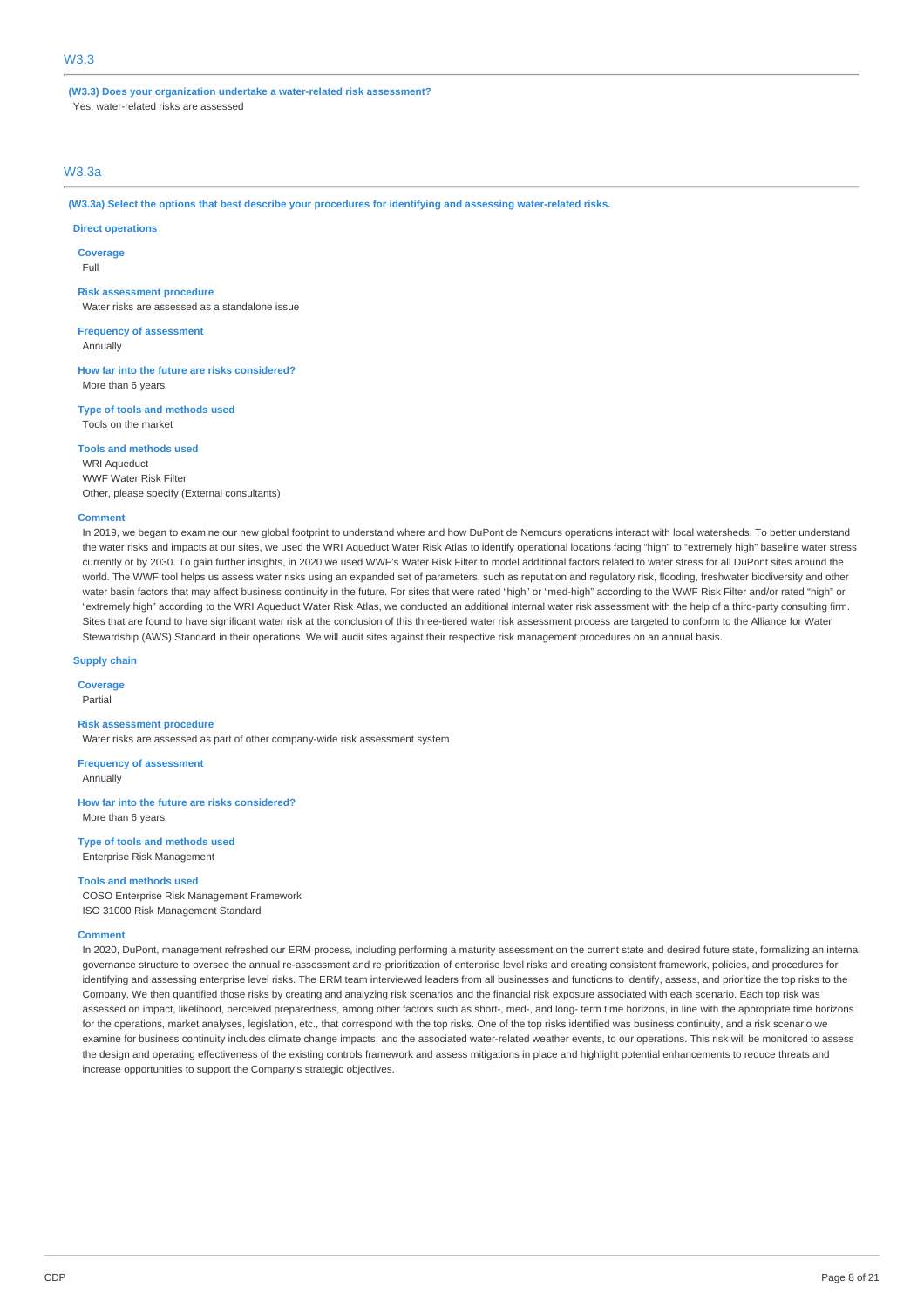**(W3.3) Does your organization undertake a water-related risk assessment?** Yes, water-related risks are assessed

# W3.3a

**(W3.3a) Select the options that best describe your procedures for identifying and assessing water-related risks.**

### **Direct operations**

**Coverage**

Full

#### **Risk assessment procedure**

Water risks are assessed as a standalone issue

**Frequency of assessment**

Annually

**How far into the future are risks considered?** More than 6 years

**Type of tools and methods used** Tools on the market

**Tools and methods used**

WRI Aqueduct WWF Water Risk Filter Other, please specify (External consultants)

#### **Comment**

In 2019, we began to examine our new global footprint to understand where and how DuPont de Nemours operations interact with local watersheds. To better understand the water risks and impacts at our sites, we used the WRI Aqueduct Water Risk Atlas to identify operational locations facing "high" to "extremely high" baseline water stress currently or by 2030. To gain further insights, in 2020 we used WWF's Water Risk Filter to model additional factors related to water stress for all DuPont sites around the world. The WWF tool helps us assess water risks using an expanded set of parameters, such as reputation and regulatory risk, flooding, freshwater biodiversity and other water basin factors that may affect business continuity in the future. For sites that were rated "high" or "med-high" according to the WWF Risk Filter and/or rated "high" or "extremely high" according to the WRI Aqueduct Water Risk Atlas, we conducted an additional internal water risk assessment with the help of a third-party consulting firm. Sites that are found to have significant water risk at the conclusion of this three-tiered water risk assessment process are targeted to conform to the Alliance for Water Stewardship (AWS) Standard in their operations. We will audit sites against their respective risk management procedures on an annual basis.

**Supply chain**

**Coverage**

Partial

**Risk assessment procedure** Water risks are assessed as part of other company-wide risk assessment system

**Frequency of assessment** Annually

**How far into the future are risks considered?** More than 6 years

**Type of tools and methods used** Enterprise Risk Management

### **Tools and methods used**

COSO Enterprise Risk Management Framework ISO 31000 Risk Management Standard

#### **Comment**

In 2020, DuPont, management refreshed our ERM process, including performing a maturity assessment on the current state and desired future state, formalizing an internal governance structure to oversee the annual re-assessment and re-prioritization of enterprise level risks and creating consistent framework, policies, and procedures for identifying and assessing enterprise level risks. The ERM team interviewed leaders from all businesses and functions to identify, assess, and prioritize the top risks to the Company. We then quantified those risks by creating and analyzing risk scenarios and the financial risk exposure associated with each scenario. Each top risk was assessed on impact, likelihood, perceived preparedness, among other factors such as short-, med-, and long- term time horizons, in line with the appropriate time horizons for the operations, market analyses, legislation, etc., that correspond with the top risks. One of the top risks identified was business continuity, and a risk scenario we examine for business continuity includes climate change impacts, and the associated water-related weather events, to our operations. This risk will be monitored to assess the design and operating effectiveness of the existing controls framework and assess mitigations in place and highlight potential enhancements to reduce threats and increase opportunities to support the Company's strategic objectives.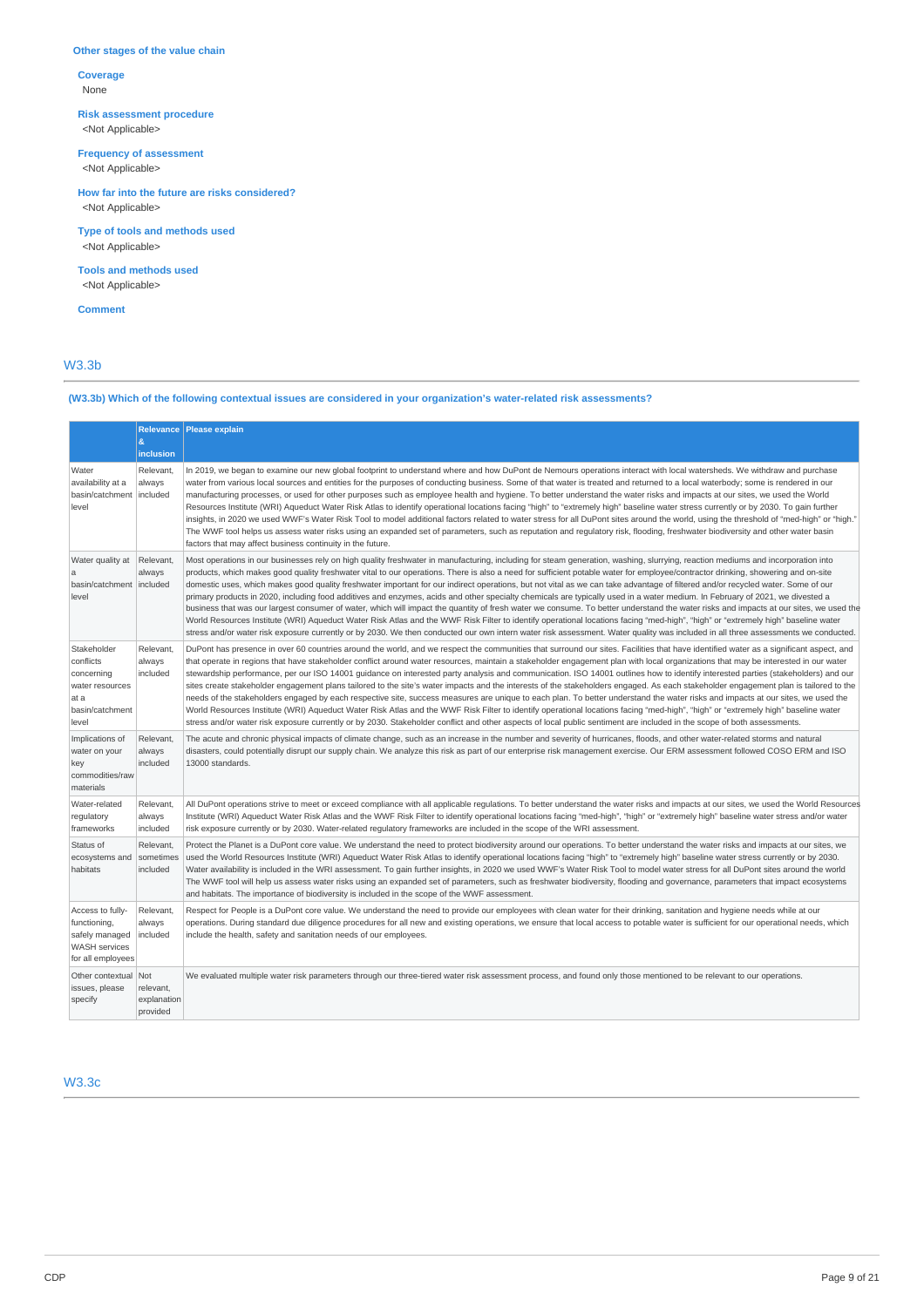### **Other stages of the value chain**

**Coverage** None

**Risk assessment procedure** <Not Applicable>

**Frequency of assessment**

<Not Applicable>

<Not Applicable> **How far into the future are risks considered?**

**Type of tools and methods used** <Not Applicable>

**Tools and methods used** <Not Applicable>

**Comment**

# W3.3b

# **(W3.3b) Which of the following contextual issues are considered in your organization's water-related risk assessments?**

|                                                                                                 | $\mathbf{g}$<br>inclusion                   | Relevance   Please explain                                                                                                                                                                                                                                                                                                                                                                                                                                                                                                                                                                                                                                                                                                                                                                                                                                                                                                                                                                                                                                                                                                                                                                                                                                                                                |
|-------------------------------------------------------------------------------------------------|---------------------------------------------|-----------------------------------------------------------------------------------------------------------------------------------------------------------------------------------------------------------------------------------------------------------------------------------------------------------------------------------------------------------------------------------------------------------------------------------------------------------------------------------------------------------------------------------------------------------------------------------------------------------------------------------------------------------------------------------------------------------------------------------------------------------------------------------------------------------------------------------------------------------------------------------------------------------------------------------------------------------------------------------------------------------------------------------------------------------------------------------------------------------------------------------------------------------------------------------------------------------------------------------------------------------------------------------------------------------|
| Water<br>availability at a<br>basin/catchment<br>level                                          | Relevant,<br>always<br>included             | In 2019, we began to examine our new global footprint to understand where and how DuPont de Nemours operations interact with local watersheds. We withdraw and purchase<br>water from various local sources and entities for the purposes of conducting business. Some of that water is treated and returned to a local waterbody; some is rendered in our<br>manufacturing processes, or used for other purposes such as employee health and hygiene. To better understand the water risks and impacts at our sites, we used the World<br>Resources Institute (WRI) Aqueduct Water Risk Atlas to identify operational locations facing "high" to "extremely high" baseline water stress currently or by 2030. To gain further<br>insights, in 2020 we used WWF's Water Risk Tool to model additional factors related to water stress for all DuPont sites around the world, using the threshold of "med-high" or "high."<br>The WWF tool helps us assess water risks using an expanded set of parameters, such as reputation and regulatory risk, flooding, freshwater biodiversity and other water basin<br>factors that may affect business continuity in the future.                                                                                                                                  |
| Water quality at<br>a<br>basin/catchment<br>level                                               | Relevant,<br>always<br>included             | Most operations in our businesses rely on high quality freshwater in manufacturing, including for steam generation, washing, slurrying, reaction mediums and incorporation into<br>products, which makes good quality freshwater vital to our operations. There is also a need for sufficient potable water for employee/contractor drinking, showering and on-site<br>domestic uses, which makes good quality freshwater important for our indirect operations, but not vital as we can take advantage of filtered and/or recycled water. Some of our<br>primary products in 2020, including food additives and enzymes, acids and other specialty chemicals are typically used in a water medium. In February of 2021, we divested a<br>business that was our largest consumer of water, which will impact the quantity of fresh water we consume. To better understand the water risks and impacts at our sites, we used the<br>World Resources Institute (WRI) Aqueduct Water Risk Atlas and the WWF Risk Filter to identify operational locations facing "med-high", "high" or "extremely high" baseline water<br>stress and/or water risk exposure currently or by 2030. We then conducted our own intern water risk assessment. Water quality was included in all three assessments we conducted.  |
| Stakeholder<br>conflicts<br>concerning<br>water resources<br>at a<br>basin/catchment<br>level   | Relevant,<br>always<br>included             | DuPont has presence in over 60 countries around the world, and we respect the communities that surround our sites. Facilities that have identified water as a significant aspect, and<br>that operate in regions that have stakeholder conflict around water resources, maintain a stakeholder engagement plan with local organizations that may be interested in our water<br>stewardship performance, per our ISO 14001 quidance on interested party analysis and communication. ISO 14001 outlines how to identify interested parties (stakeholders) and our<br>sites create stakeholder engagement plans tailored to the site's water impacts and the interests of the stakeholders engaged. As each stakeholder engagement plan is tailored to the<br>needs of the stakeholders engaged by each respective site, success measures are unique to each plan. To better understand the water risks and impacts at our sites, we used the<br>World Resources Institute (WRI) Aqueduct Water Risk Atlas and the WWF Risk Filter to identify operational locations facing "med-high", "high" or "extremely high" baseline water<br>stress and/or water risk exposure currently or by 2030. Stakeholder conflict and other aspects of local public sentiment are included in the scope of both assessments. |
| Implications of<br>water on your<br>key<br>commodities/raw<br>materials                         | Relevant,<br>always<br>included             | The acute and chronic physical impacts of climate change, such as an increase in the number and severity of hurricanes, floods, and other water-related storms and natural<br>disasters, could potentially disrupt our supply chain. We analyze this risk as part of our enterprise risk management exercise. Our ERM assessment followed COSO ERM and ISO<br>13000 standards.                                                                                                                                                                                                                                                                                                                                                                                                                                                                                                                                                                                                                                                                                                                                                                                                                                                                                                                            |
| Water-related<br>regulatory<br>frameworks                                                       | Relevant,<br>always<br>included             | All DuPont operations strive to meet or exceed compliance with all applicable requlations. To better understand the water risks and impacts at our sites, we used the World Resources<br>Institute (WRI) Aqueduct Water Risk Atlas and the WWF Risk Filter to identify operational locations facing "med-high", "high" or "extremely high" baseline water stress and/or water<br>risk exposure currently or by 2030. Water-related regulatory frameworks are included in the scope of the WRI assessment.                                                                                                                                                                                                                                                                                                                                                                                                                                                                                                                                                                                                                                                                                                                                                                                                 |
| Status of<br>ecosystems and<br>habitats                                                         | Relevant,<br>sometimes<br>included          | Protect the Planet is a DuPont core value. We understand the need to protect biodiversity around our operations. To better understand the water risks and impacts at our sites, we<br>used the World Resources Institute (WRI) Aqueduct Water Risk Atlas to identify operational locations facing "high" to "extremely high" baseline water stress currently or by 2030.<br>Water availability is included in the WRI assessment. To gain further insights, in 2020 we used WWF's Water Risk Tool to model water stress for all DuPont sites around the world<br>The WWF tool will help us assess water risks using an expanded set of parameters, such as freshwater biodiversity, flooding and governance, parameters that impact ecosystems<br>and habitats. The importance of biodiversity is included in the scope of the WWF assessment.                                                                                                                                                                                                                                                                                                                                                                                                                                                            |
| Access to fully-<br>functioning,<br>safely managed<br><b>WASH</b> services<br>for all employees | Relevant,<br>always<br>included             | Respect for People is a DuPont core value. We understand the need to provide our employees with clean water for their drinking, sanitation and hygiene needs while at our<br>operations. During standard due diligence procedures for all new and existing operations, we ensure that local access to potable water is sufficient for our operational needs, which<br>include the health, safety and sanitation needs of our employees.                                                                                                                                                                                                                                                                                                                                                                                                                                                                                                                                                                                                                                                                                                                                                                                                                                                                   |
| Other contextual<br>issues, please<br>specify                                                   | Not<br>relevant,<br>explanation<br>provided | We evaluated multiple water risk parameters through our three-tiered water risk assessment process, and found only those mentioned to be relevant to our operations.                                                                                                                                                                                                                                                                                                                                                                                                                                                                                                                                                                                                                                                                                                                                                                                                                                                                                                                                                                                                                                                                                                                                      |

W3.3c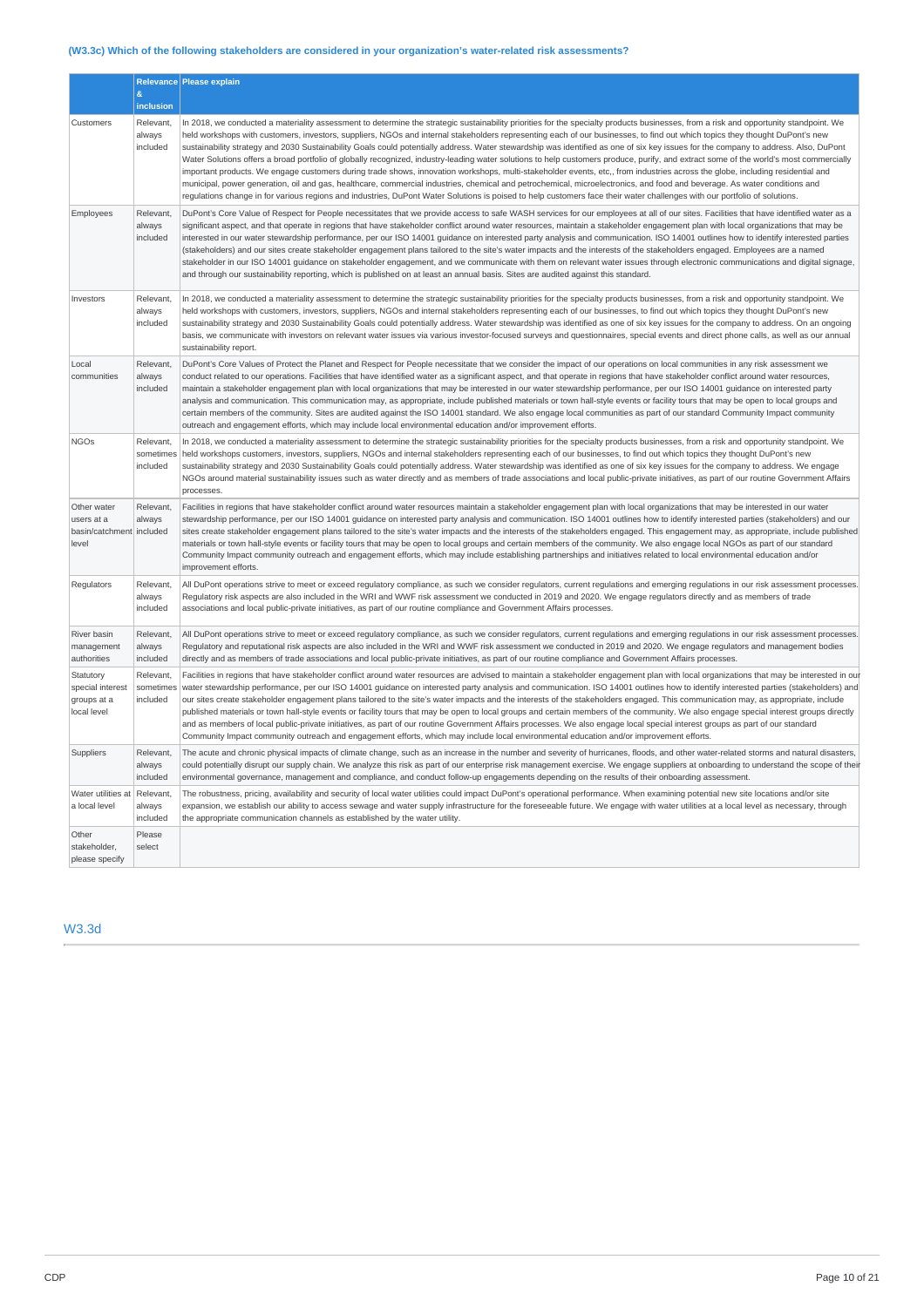# **(W3.3c) Which of the following stakeholders are considered in your organization's water-related risk assessments?**

|                                                                | $\mathcal{R}_{\mathcal{L}}$<br>inclusion | Relevance Please explain                                                                                                                                                                                                                                                                                                                                                                                                                                                                                                                                                                                                                                                                                                                                                                                                                                                                                                                                                                                                                                                                                                                                                                                                                                                                         |
|----------------------------------------------------------------|------------------------------------------|--------------------------------------------------------------------------------------------------------------------------------------------------------------------------------------------------------------------------------------------------------------------------------------------------------------------------------------------------------------------------------------------------------------------------------------------------------------------------------------------------------------------------------------------------------------------------------------------------------------------------------------------------------------------------------------------------------------------------------------------------------------------------------------------------------------------------------------------------------------------------------------------------------------------------------------------------------------------------------------------------------------------------------------------------------------------------------------------------------------------------------------------------------------------------------------------------------------------------------------------------------------------------------------------------|
| Customers                                                      | Relevant.<br>always<br>included          | In 2018, we conducted a materiality assessment to determine the strategic sustainability priorities for the specialty products businesses, from a risk and opportunity standpoint. We<br>held workshops with customers, investors, suppliers, NGOs and internal stakeholders representing each of our businesses, to find out which topics they thought DuPont's new<br>sustainability strategy and 2030 Sustainability Goals could potentially address. Water stewardship was identified as one of six key issues for the company to address. Also, DuPont<br>Water Solutions offers a broad portfolio of globally recognized, industry-leading water solutions to help customers produce, purify, and extract some of the world's most commercially<br>important products. We engage customers during trade shows, innovation workshops, multi-stakeholder events, etc., from industries across the globe, including residential and<br>municipal, power generation, oil and gas, healthcare, commercial industries, chemical and petrochemical, microelectronics, and food and beverage. As water conditions and<br>regulations change in for various regions and industries, DuPont Water Solutions is poised to help customers face their water challenges with our portfolio of solutions. |
| Employees                                                      | Relevant.<br>always<br>included          | DuPont's Core Value of Respect for People necessitates that we provide access to safe WASH services for our employees at all of our sites. Facilities that have identified water as a<br>significant aspect, and that operate in regions that have stakeholder conflict around water resources, maintain a stakeholder engagement plan with local organizations that may be<br>interested in our water stewardship performance, per our ISO 14001 guidance on interested party analysis and communication. ISO 14001 outlines how to identify interested parties<br>(stakeholders) and our sites create stakeholder engagement plans tailored to the site's water impacts and the interests of the stakeholders engaged. Employees are a named<br>stakeholder in our ISO 14001 guidance on stakeholder engagement, and we communicate with them on relevant water issues through electronic communications and digital signage,<br>and through our sustainability reporting, which is published on at least an annual basis. Sites are audited against this standard.                                                                                                                                                                                                                            |
| Investors                                                      | Relevant,<br>always<br>included          | In 2018, we conducted a materiality assessment to determine the strategic sustainability priorities for the specialty products businesses, from a risk and opportunity standpoint. We<br>held workshops with customers, investors, suppliers, NGOs and internal stakeholders representing each of our businesses, to find out which topics they thought DuPont's new<br>sustainability strategy and 2030 Sustainability Goals could potentially address. Water stewardship was identified as one of six key issues for the company to address. On an ongoing<br>basis, we communicate with investors on relevant water issues via various investor-focused surveys and questionnaires, special events and direct phone calls, as well as our annual<br>sustainability report.                                                                                                                                                                                                                                                                                                                                                                                                                                                                                                                    |
| Local<br>communities                                           | Relevant,<br>always<br>included          | DuPont's Core Values of Protect the Planet and Respect for People necessitate that we consider the impact of our operations on local communities in any risk assessment we<br>conduct related to our operations. Facilities that have identified water as a significant aspect, and that operate in regions that have stakeholder conflict around water resources,<br>maintain a stakeholder engagement plan with local organizations that may be interested in our water stewardship performance, per our ISO 14001 quidance on interested party<br>analysis and communication. This communication may, as appropriate, include published materials or town hall-style events or facility tours that may be open to local groups and<br>certain members of the community. Sites are audited against the ISO 14001 standard. We also engage local communities as part of our standard Community Impact community<br>outreach and engagement efforts, which may include local environmental education and/or improvement efforts.                                                                                                                                                                                                                                                                 |
| <b>NGOs</b>                                                    | Relevant,<br>sometime:<br>included       | In 2018, we conducted a materiality assessment to determine the strategic sustainability priorities for the specialty products businesses, from a risk and opportunity standpoint. We<br>held workshops customers, investors, suppliers, NGOs and internal stakeholders representing each of our businesses, to find out which topics they thought DuPont's new<br>sustainability strategy and 2030 Sustainability Goals could potentially address. Water stewardship was identified as one of six key issues for the company to address. We engage<br>NGOs around material sustainability issues such as water directly and as members of trade associations and local public-private initiatives, as part of our routine Government Affairs<br>processes.                                                                                                                                                                                                                                                                                                                                                                                                                                                                                                                                      |
| Other water<br>users at a<br>basin/catchment included<br>level | Relevant,<br>always                      | Facilities in regions that have stakeholder conflict around water resources maintain a stakeholder engagement plan with local organizations that may be interested in our water<br>stewardship performance, per our ISO 14001 guidance on interested party analysis and communication. ISO 14001 outlines how to identify interested parties (stakeholders) and our<br>sites create stakeholder engagement plans tailored to the site's water impacts and the interests of the stakeholders engaged. This engagement may, as appropriate, include published<br>materials or town hall-style events or facility tours that may be open to local groups and certain members of the community. We also engage local NGOs as part of our standard<br>Community Impact community outreach and engagement efforts, which may include establishing partnerships and initiatives related to local environmental education and/or<br>improvement efforts.                                                                                                                                                                                                                                                                                                                                                 |
| Regulators                                                     | Relevant,<br>always<br>included          | All DuPont operations strive to meet or exceed regulatory compliance, as such we consider regulators, current regulations and emerging regulations in our risk assessment processes.<br>Regulatory risk aspects are also included in the WRI and WWF risk assessment we conducted in 2019 and 2020. We engage regulators directly and as members of trade<br>associations and local public-private initiatives, as part of our routine compliance and Government Affairs processes.                                                                                                                                                                                                                                                                                                                                                                                                                                                                                                                                                                                                                                                                                                                                                                                                              |
| River basin<br>management<br>authorities                       | Relevant,<br>always<br>included          | All DuPont operations strive to meet or exceed regulatory compliance, as such we consider regulators, current regulations and emerging regulations in our risk assessment processes.<br>Regulatory and reputational risk aspects are also included in the WRI and WWF risk assessment we conducted in 2019 and 2020. We engage regulators and management bodies<br>directly and as members of trade associations and local public-private initiatives, as part of our routine compliance and Government Affairs processes.                                                                                                                                                                                                                                                                                                                                                                                                                                                                                                                                                                                                                                                                                                                                                                       |
| Statutory<br>special interest<br>groups at a<br>local level    | Relevant,<br>sometimes<br>included       | Facilities in regions that have stakeholder conflict around water resources are advised to maintain a stakeholder engagement plan with local organizations that may be interested in our<br>water stewardship performance, per our ISO 14001 quidance on interested party analysis and communication. ISO 14001 outlines how to identify interested parties (stakeholders) and<br>our sites create stakeholder engagement plans tailored to the site's water impacts and the interests of the stakeholders engaged. This communication may, as appropriate, include<br>published materials or town hall-style events or facility tours that may be open to local groups and certain members of the community. We also engage special interest groups directly<br>and as members of local public-private initiatives, as part of our routine Government Affairs processes. We also engage local special interest groups as part of our standard<br>Community Impact community outreach and engagement efforts, which may include local environmental education and/or improvement efforts.                                                                                                                                                                                                        |
| Suppliers                                                      | Relevant,<br>always<br>included          | The acute and chronic physical impacts of climate change, such as an increase in the number and severity of hurricanes, floods, and other water-related storms and natural disasters,<br>could potentially disrupt our supply chain. We analyze this risk as part of our enterprise risk management exercise. We engage suppliers at onboarding to understand the scope of their<br>environmental governance, management and compliance, and conduct follow-up engagements depending on the results of their onboarding assessment.                                                                                                                                                                                                                                                                                                                                                                                                                                                                                                                                                                                                                                                                                                                                                              |
| Water utilities at<br>a local level                            | Relevant,<br>always<br>included          | The robustness, pricing, availability and security of local water utilities could impact DuPont's operational performance. When examining potential new site locations and/or site<br>expansion, we establish our ability to access sewage and water supply infrastructure for the foreseeable future. We engage with water utilities at a local level as necessary, through<br>the appropriate communication channels as established by the water utility.                                                                                                                                                                                                                                                                                                                                                                                                                                                                                                                                                                                                                                                                                                                                                                                                                                      |
| Other<br>stakeholder.<br>please specify                        | Please<br>select                         |                                                                                                                                                                                                                                                                                                                                                                                                                                                                                                                                                                                                                                                                                                                                                                                                                                                                                                                                                                                                                                                                                                                                                                                                                                                                                                  |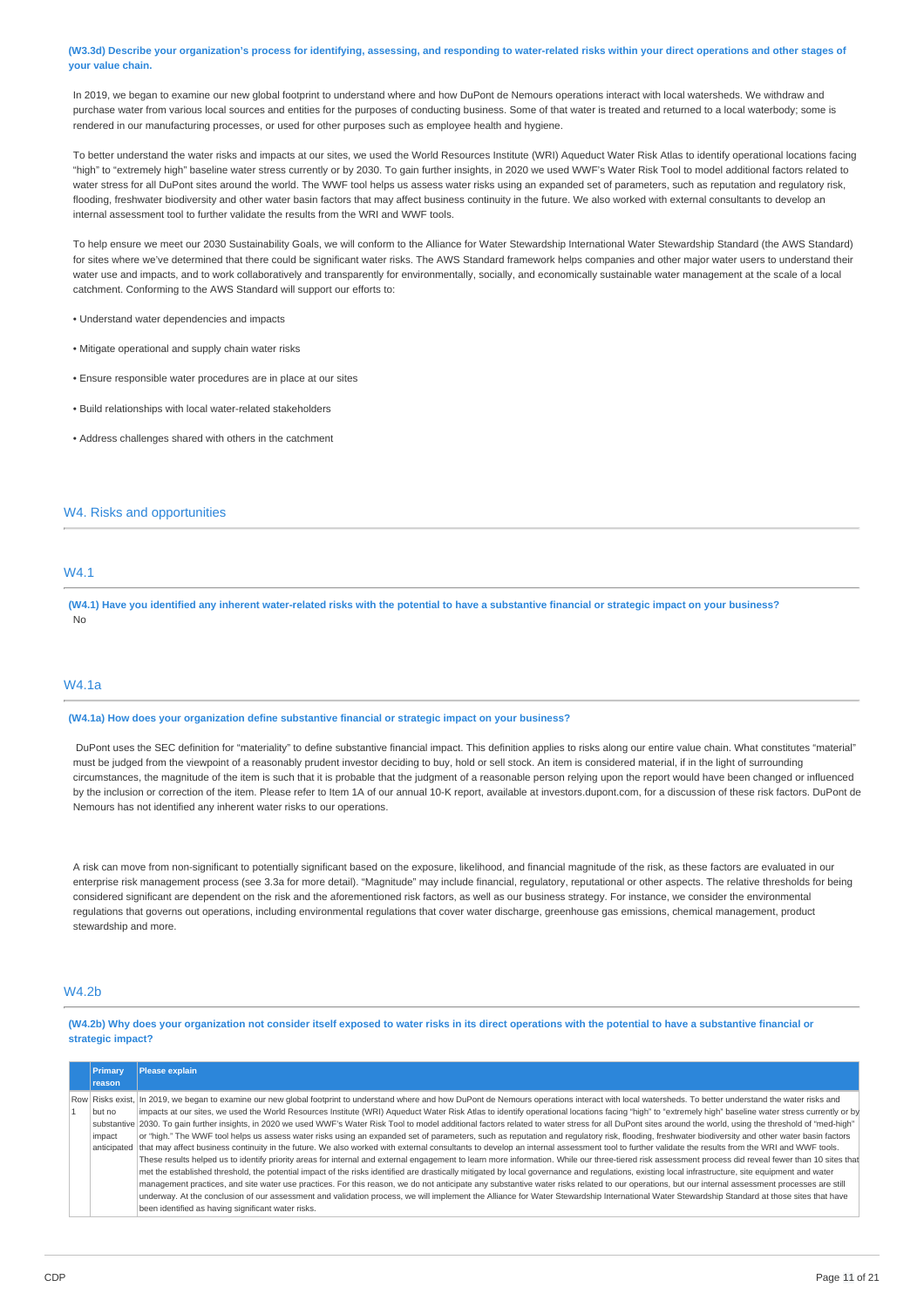(W3.3d) Describe your organization's process for identifying, assessing, and responding to water-related risks within your direct operations and other stages of **your value chain.**

In 2019, we began to examine our new global footprint to understand where and how DuPont de Nemours operations interact with local watersheds. We withdraw and purchase water from various local sources and entities for the purposes of conducting business. Some of that water is treated and returned to a local waterbody; some is rendered in our manufacturing processes, or used for other purposes such as employee health and hygiene.

To better understand the water risks and impacts at our sites, we used the World Resources Institute (WRI) Aqueduct Water Risk Atlas to identify operational locations facing "high" to "extremely high" baseline water stress currently or by 2030. To gain further insights, in 2020 we used WWF's Water Risk Tool to model additional factors related to water stress for all DuPont sites around the world. The WWF tool helps us assess water risks using an expanded set of parameters, such as reputation and regulatory risk. flooding, freshwater biodiversity and other water basin factors that may affect business continuity in the future. We also worked with external consultants to develop an internal assessment tool to further validate the results from the WRI and WWF tools.

To help ensure we meet our 2030 Sustainability Goals, we will conform to the Alliance for Water Stewardship International Water Stewardship Standard (the AWS Standard) for sites where we've determined that there could be significant water risks. The AWS Standard framework helps companies and other major water users to understand their water use and impacts, and to work collaboratively and transparently for environmentally, socially, and economically sustainable water management at the scale of a local catchment. Conforming to the AWS Standard will support our efforts to:

• Understand water dependencies and impacts

- Mitigate operational and supply chain water risks
- Ensure responsible water procedures are in place at our sites
- Build relationships with local water-related stakeholders
- Address challenges shared with others in the catchment

### W4. Risks and opportunities

# W4.1

(W4.1) Have you identified any inherent water-related risks with the potential to have a substantive financial or strategic impact on your business? No

# W4.1a

#### **(W4.1a) How does your organization define substantive financial or strategic impact on your business?**

DuPont uses the SEC definition for "materiality" to define substantive financial impact. This definition applies to risks along our entire value chain. What constitutes "material" must be judged from the viewpoint of a reasonably prudent investor deciding to buy, hold or sell stock. An item is considered material, if in the light of surrounding circumstances, the magnitude of the item is such that it is probable that the judgment of a reasonable person relying upon the report would have been changed or influenced by the inclusion or correction of the item. Please refer to Item 1A of our annual 10-K report, available at investors.dupont.com, for a discussion of these risk factors. DuPont de Nemours has not identified any inherent water risks to our operations.

A risk can move from non-significant to potentially significant based on the exposure, likelihood, and financial magnitude of the risk, as these factors are evaluated in our enterprise risk management process (see 3.3a for more detail). "Magnitude" may include financial, regulatory, reputational or other aspects. The relative thresholds for being considered significant are dependent on the risk and the aforementioned risk factors, as well as our business strategy. For instance, we consider the environmental regulations that governs out operations, including environmental regulations that cover water discharge, greenhouse gas emissions, chemical management, product stewardship and more.

# W4.2b

(W4.2b) Why does your organization not consider itself exposed to water risks in its direct operations with the potential to have a substantive financial or **strategic impact?**

| <b>Primary</b> | Please explain                                                                                                                                                                                                 |
|----------------|----------------------------------------------------------------------------------------------------------------------------------------------------------------------------------------------------------------|
| reason         |                                                                                                                                                                                                                |
|                | Row Risks exist, In 2019, we began to examine our new global footprint to understand where and how DuPont de Nemours operations interact with local watersheds. To better understand the water risks and       |
| but no         | impacts at our sites, we used the World Resources Institute (WRI) Aqueduct Water Risk Atlas to identify operational locations facing "high" to "extremely high" baseline water stress currently or by          |
|                | substantive 2030. To gain further insights, in 2020 we used WWF's Water Risk Tool to model additional factors related to water stress for all DuPont sites around the world, using the threshold of "med-high" |
| impact         | or "high." The WWF tool helps us assess water risks using an expanded set of parameters, such as reputation and regulatory risk, flooding, freshwater biodiversity and other water basin factors               |
| anticipated    | that may affect business continuity in the future. We also worked with external consultants to develop an internal assessment tool to further validate the results from the WRI and WWF tools.                 |
|                | These results helped us to identify priority areas for internal and external engagement to learn more information. While our three-tiered risk assessment process did reveal fewer than 10 sites that          |
|                | met the established threshold, the potential impact of the risks identified are drastically mitigated by local governance and regulations, existing local infrastructure, site equipment and water             |
|                | management practices, and site water use practices. For this reason, we do not anticipate any substantive water risks related to our operations, but our internal assessment processes are still               |
|                | underway. At the conclusion of our assessment and validation process, we will implement the Alliance for Water Stewardship International Water Stewardship Standard at those sites that have                   |
|                | been identified as having significant water risks.                                                                                                                                                             |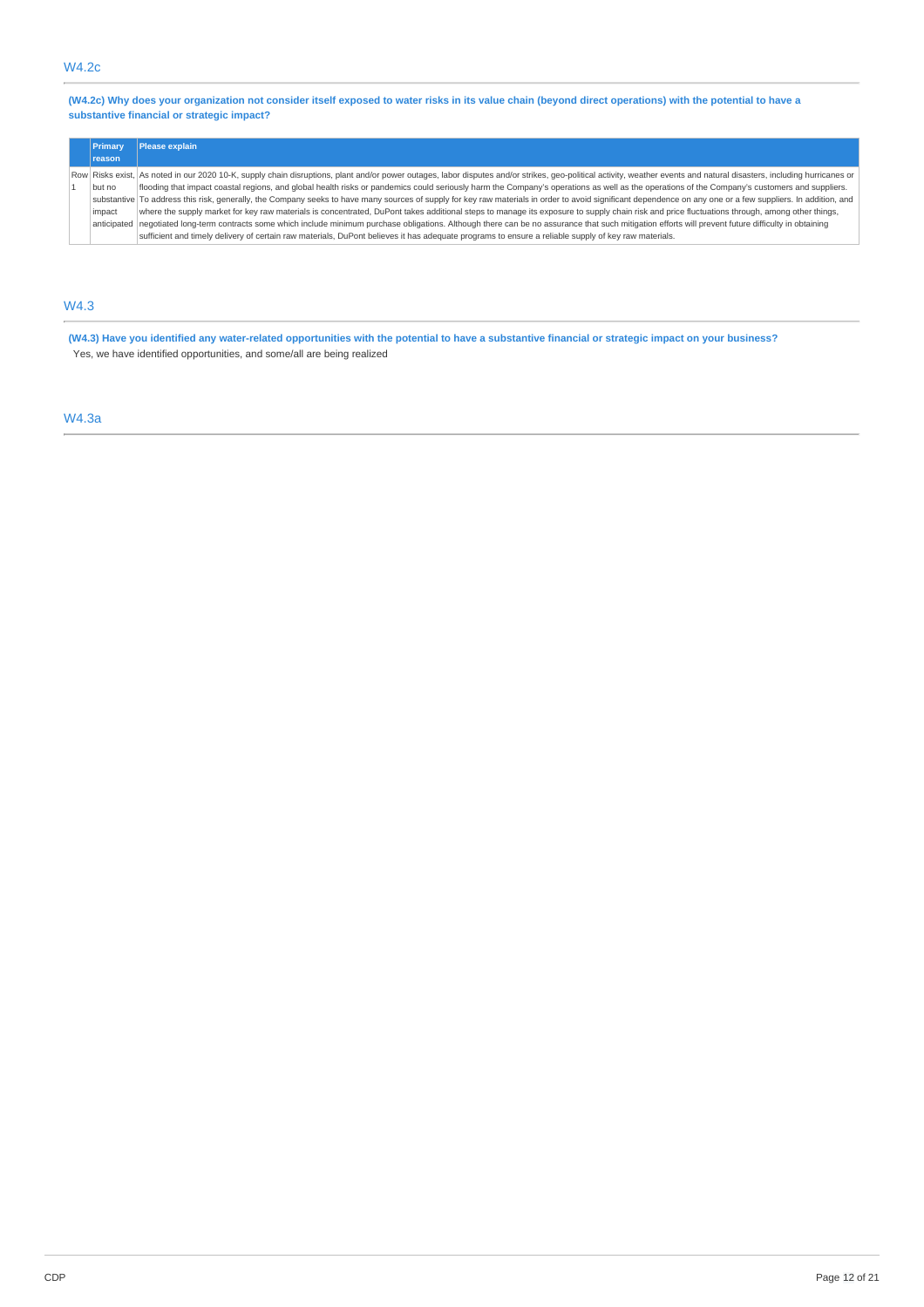(W4.2c) Why does your organization not consider itself exposed to water risks in its value chain (beyond direct operations) with the potential to have a **substantive financial or strategic impact?**

| Primary     | Please explain                                                                                                                                                                                                         |
|-------------|------------------------------------------------------------------------------------------------------------------------------------------------------------------------------------------------------------------------|
| reason      |                                                                                                                                                                                                                        |
|             | Row Risks exist, As noted in our 2020 10-K, supply chain disruptions, plant and/or power outages, labor disputes and/or strikes, geo-political activity, weather events and natural disasters, including hurricanes or |
| but no      | flooding that impact coastal regions, and global health risks or pandemics could seriously harm the Company's operations as well as the operations of the Company's customers and suppliers.                           |
|             | substantive To address this risk, generally, the Company seeks to have many sources of supply for key raw materials in order to avoid significant dependence on any one or a few suppliers. In addition, and           |
| impact      | where the supply market for key raw materials is concentrated, DuPont takes additional steps to manage its exposure to supply chain risk and price fluctuations through, among other things,                           |
| anticipated | negotiated long-term contracts some which include minimum purchase obligations. Although there can be no assurance that such mitigation efforts will prevent future difficulty in obtaining                            |
|             | sufficient and timely delivery of certain raw materials, DuPont believes it has adequate programs to ensure a reliable supply of key raw materials.                                                                    |

# W4.3

(W4.3) Have you identified any water-related opportunities with the potential to have a substantive financial or strategic impact on your business? Yes, we have identified opportunities, and some/all are being realized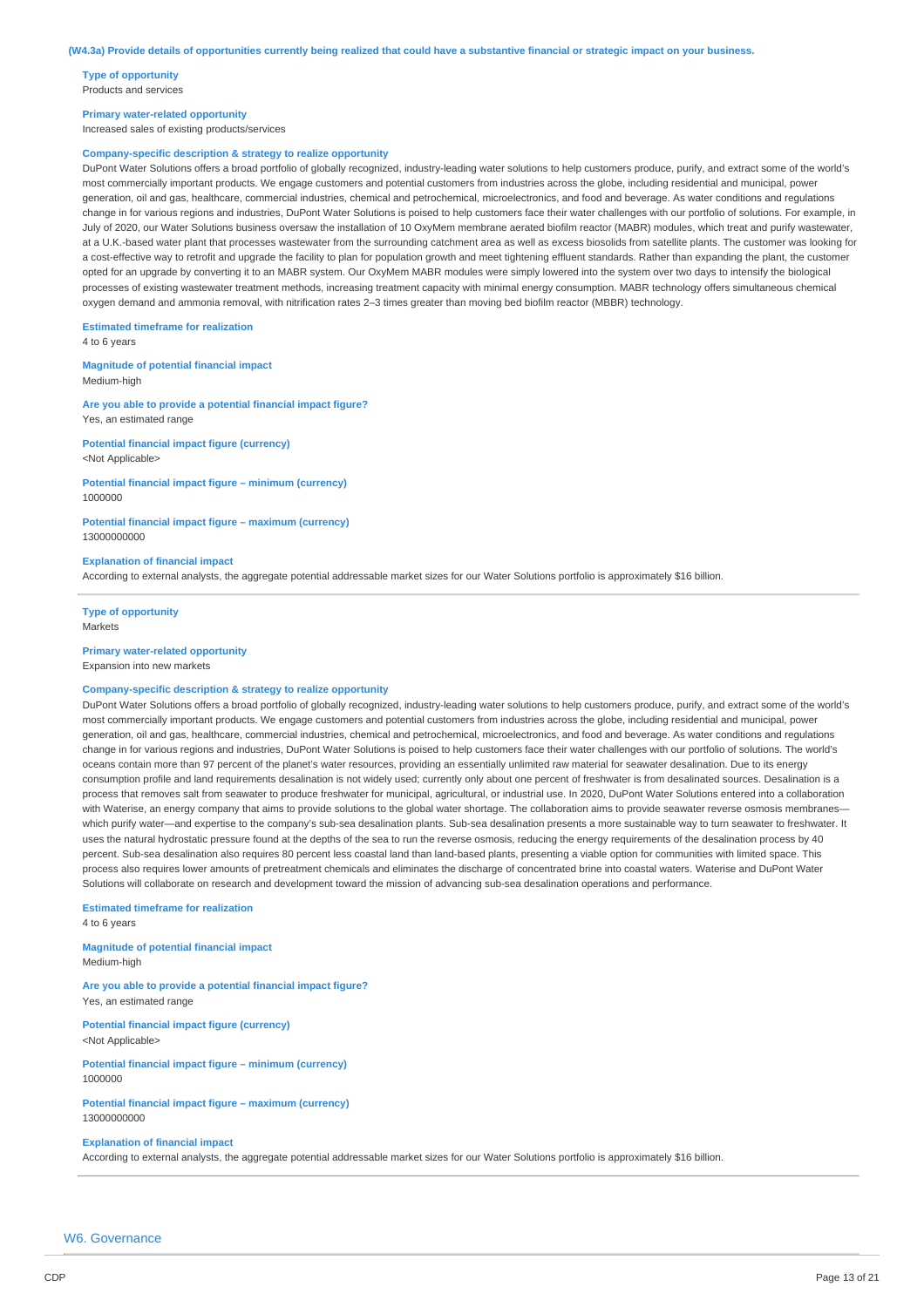**Type of opportunity** Products and services

#### **Primary water-related opportunity**

Increased sales of existing products/services

### **Company-specific description & strategy to realize opportunity**

DuPont Water Solutions offers a broad portfolio of globally recognized, industry-leading water solutions to help customers produce, purify, and extract some of the world's most commercially important products. We engage customers and potential customers from industries across the globe, including residential and municipal, power generation, oil and gas, healthcare, commercial industries, chemical and petrochemical, microelectronics, and food and beverage. As water conditions and regulations change in for various regions and industries, DuPont Water Solutions is poised to help customers face their water challenges with our portfolio of solutions. For example, in July of 2020, our Water Solutions business oversaw the installation of 10 OxyMem membrane aerated biofilm reactor (MABR) modules, which treat and purify wastewater, at a U.K.-based water plant that processes wastewater from the surrounding catchment area as well as excess biosolids from satellite plants. The customer was looking for a cost-effective way to retrofit and upgrade the facility to plan for population growth and meet tightening effluent standards. Rather than expanding the plant, the customer opted for an upgrade by converting it to an MABR system. Our OxyMem MABR modules were simply lowered into the system over two days to intensify the biological processes of existing wastewater treatment methods, increasing treatment capacity with minimal energy consumption. MABR technology offers simultaneous chemical oxygen demand and ammonia removal, with nitrification rates 2–3 times greater than moving bed biofilm reactor (MBBR) technology.

**Estimated timeframe for realization**

4 to 6 years

**Magnitude of potential financial impact** Medium-high

**Are you able to provide a potential financial impact figure?** Yes, an estimated range

**Potential financial impact figure (currency)** <Not Applicable>

#### **Potential financial impact figure – minimum (currency)** 1000000

**Potential financial impact figure – maximum (currency)** 13000000000

#### **Explanation of financial impact**

According to external analysts, the aggregate potential addressable market sizes for our Water Solutions portfolio is approximately \$16 billion.

**Type of opportunity** Markets

#### **Primary water-related opportunity**

Expansion into new markets

# **Company-specific description & strategy to realize opportunity**

DuPont Water Solutions offers a broad portfolio of globally recognized, industry-leading water solutions to help customers produce, purify, and extract some of the world's most commercially important products. We engage customers and potential customers from industries across the globe, including residential and municipal, power generation, oil and gas, healthcare, commercial industries, chemical and petrochemical, microelectronics, and food and beverage. As water conditions and regulations change in for various regions and industries, DuPont Water Solutions is poised to help customers face their water challenges with our portfolio of solutions. The world's oceans contain more than 97 percent of the planet's water resources, providing an essentially unlimited raw material for seawater desalination. Due to its energy consumption profile and land requirements desalination is not widely used; currently only about one percent of freshwater is from desalinated sources. Desalination is a process that removes salt from seawater to produce freshwater for municipal, agricultural, or industrial use. In 2020, DuPont Water Solutions entered into a collaboration with Waterise, an energy company that aims to provide solutions to the global water shortage. The collaboration aims to provide seawater reverse osmosis membraneswhich purify water-and expertise to the company's sub-sea desalination plants. Sub-sea desalination presents a more sustainable way to turn seawater to freshwater. It uses the natural hydrostatic pressure found at the depths of the sea to run the reverse osmosis, reducing the energy requirements of the desalination process by 40 percent. Sub-sea desalination also requires 80 percent less coastal land than land-based plants, presenting a viable option for communities with limited space. This process also requires lower amounts of pretreatment chemicals and eliminates the discharge of concentrated brine into coastal waters. Waterise and DuPont Water Solutions will collaborate on research and development toward the mission of advancing sub-sea desalination operations and performance.

**Estimated timeframe for realization** 4 to 6 years

# **Magnitude of potential financial impact**

Medium-high

**Are you able to provide a potential financial impact figure?** Yes, an estimated range

**Potential financial impact figure (currency)** <Not Applicable>

**Potential financial impact figure – minimum (currency)** 1000000

### **Potential financial impact figure – maximum (currency)** 13000000000

#### **Explanation of financial impact**

According to external analysts, the aggregate potential addressable market sizes for our Water Solutions portfolio is approximately \$16 billion.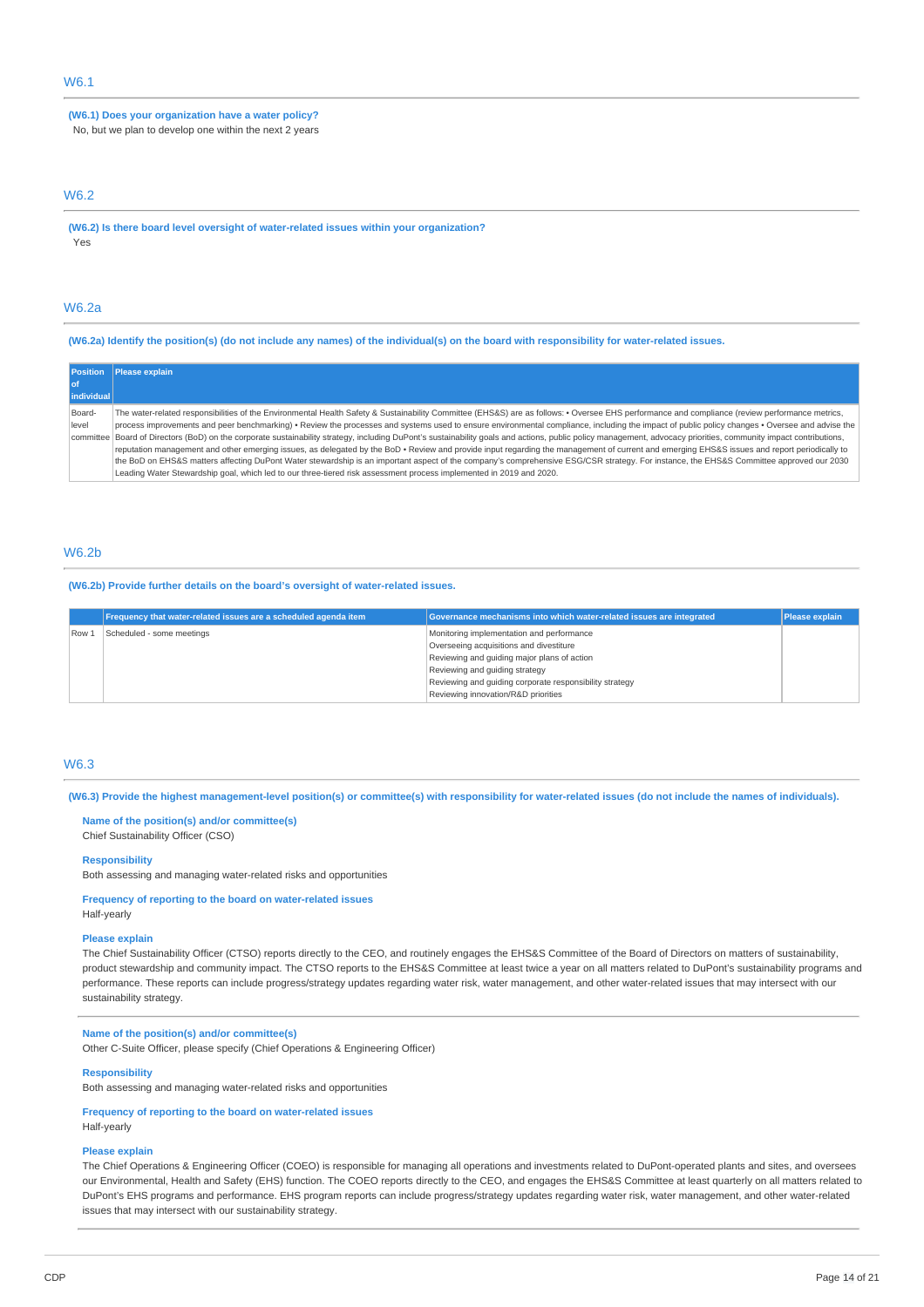# W6.1

**(W6.1) Does your organization have a water policy?** No, but we plan to develop one within the next 2 years

### W6.2

**(W6.2) Is there board level oversight of water-related issues within your organization?** Yes

### W6.2a

(W6.2a) Identify the position(s) (do not include any names) of the individual(s) on the board with responsibility for water-related issues.

| <b>Position</b> | <b>Please explain</b>                                                                                                                                                                                            |
|-----------------|------------------------------------------------------------------------------------------------------------------------------------------------------------------------------------------------------------------|
| l of            |                                                                                                                                                                                                                  |
| individual      |                                                                                                                                                                                                                  |
| Board-          | The water-related responsibilities of the Environmental Health Safety & Sustainability Committee (EHS&S) are as follows: • Oversee EHS performance and compliance (review performance metrics,                   |
| level           | process improvements and peer benchmarking) • Review the processes and systems used to ensure environmental compliance, including the impact of public policy changes • Oversee and advise the                   |
|                 | committee Board of Directors (BoD) on the corporate sustainability strategy, including DuPont's sustainability goals and actions, public policy management, advocacy priorities, community impact contributions, |
|                 | reputation management and other emerging issues, as delegated by the BoD · Review and provide input regarding the management of current and emerging EHS&S issues and report periodically to                     |
|                 | the BoD on EHS&S matters affecting DuPont Water stewardship is an important aspect of the company's comprehensive ESG/CSR strategy. For instance, the EHS&S Committee approved our 2030                          |
|                 | Leading Water Stewardship goal, which led to our three-tiered risk assessment process implemented in 2019 and 2020.                                                                                              |

### W6.2b

**(W6.2b) Provide further details on the board's oversight of water-related issues.**

|       | Frequency that water-related issues are a scheduled agenda item | Governance mechanisms into which water-related issues are integrated                                                                                                                                                             | <b>Please explain</b> |
|-------|-----------------------------------------------------------------|----------------------------------------------------------------------------------------------------------------------------------------------------------------------------------------------------------------------------------|-----------------------|
| Row 1 | Scheduled - some meetings                                       | Monitoring implementation and performance<br>Overseeing acquisitions and divestiture<br>Reviewing and quiding major plans of action<br>Reviewing and quiding strategy<br>Reviewing and quiding corporate responsibility strategy |                       |
|       |                                                                 | Reviewing innovation/R&D priorities                                                                                                                                                                                              |                       |

### W6.3

(W6.3) Provide the highest management-level position(s) or committee(s) with responsibility for water-related issues (do not include the names of individuals).

**Name of the position(s) and/or committee(s)** Chief Sustainability Officer (CSO)

#### **Responsibility**

Both assessing and managing water-related risks and opportunities

**Frequency of reporting to the board on water-related issues**

# Half-yearly

### **Please explain**

The Chief Sustainability Officer (CTSO) reports directly to the CEO, and routinely engages the EHS&S Committee of the Board of Directors on matters of sustainability, product stewardship and community impact. The CTSO reports to the EHS&S Committee at least twice a year on all matters related to DuPont's sustainability programs and performance. These reports can include progress/strategy updates regarding water risk, water management, and other water-related issues that may intersect with our sustainability strategy.

#### **Name of the position(s) and/or committee(s)**

Other C-Suite Officer, please specify (Chief Operations & Engineering Officer)

#### **Responsibility**

Both assessing and managing water-related risks and opportunities

### **Frequency of reporting to the board on water-related issues**

Half-yearly

### **Please explain**

The Chief Operations & Engineering Officer (COEO) is responsible for managing all operations and investments related to DuPont-operated plants and sites, and oversees our Environmental, Health and Safety (EHS) function. The COEO reports directly to the CEO, and engages the EHS&S Committee at least quarterly on all matters related to DuPont's EHS programs and performance. EHS program reports can include progress/strategy updates regarding water risk, water management, and other water-related issues that may intersect with our sustainability strategy.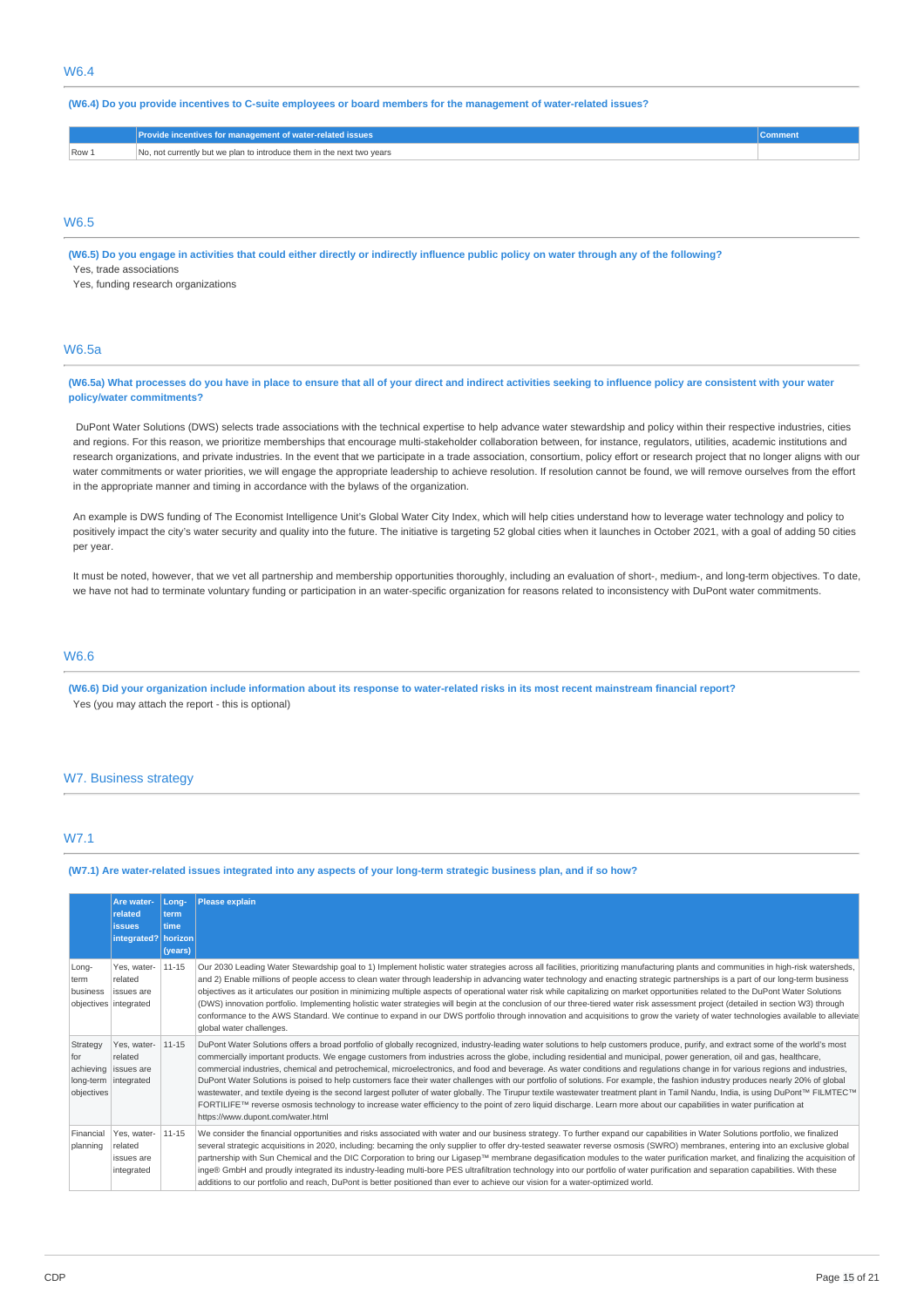(W6.4) Do you provide incentives to C-suite employees or board members for the management of water-related issues?

|       | <b>Provide incentives for management of water-related issues '</b>    |  |
|-------|-----------------------------------------------------------------------|--|
| Row 1 | No, not currently but we plan to introduce them in the next two years |  |

## W6.5

(W6.5) Do you engage in activities that could either directly or indirectly influence public policy on water through any of the following? Yes, trade associations

Yes, funding research organizations

# W6.5a

(W6.5a) What processes do you have in place to ensure that all of your direct and indirect activities seeking to influence policy are consistent with your water **policy/water commitments?**

DuPont Water Solutions (DWS) selects trade associations with the technical expertise to help advance water stewardship and policy within their respective industries, cities and regions. For this reason, we prioritize memberships that encourage multi-stakeholder collaboration between, for instance, regulators, utilities, academic institutions and research organizations, and private industries. In the event that we participate in a trade association, consortium, policy effort or research project that no longer aligns with our water commitments or water priorities, we will engage the appropriate leadership to achieve resolution. If resolution cannot be found, we will remove ourselves from the effort in the appropriate manner and timing in accordance with the bylaws of the organization.

An example is DWS funding of The Economist Intelligence Unit's Global Water City Index, which will help cities understand how to leverage water technology and policy to positively impact the city's water security and quality into the future. The initiative is targeting 52 global cities when it launches in October 2021, with a goal of adding 50 cities per year.

It must be noted, however, that we vet all partnership and membership opportunities thoroughly, including an evaluation of short-, medium-, and long-term objectives. To date, we have not had to terminate voluntary funding or participation in an water-specific organization for reasons related to inconsistency with DuPont water commitments.

# W6.6

(W6.6) Did your organization include information about its response to water-related risks in its most recent mainstream financial report? Yes (you may attach the report - this is optional)

#### W7. Business strategy

# W7.1

(W7.1) Are water-related issues integrated into any aspects of your long-term strategic business plan, and if so how?

|                                            | Are water-<br>related<br><b>issues</b><br>integrated? horizon | Long-<br>term<br>time<br>(years) | <b>Please explain</b>                                                                                                                                                                                                                                                                                                                                                                                                                                                                                                                                                                                                                                                                                                                                                                                                                                                                                                                                                                                                                                                                                                           |
|--------------------------------------------|---------------------------------------------------------------|----------------------------------|---------------------------------------------------------------------------------------------------------------------------------------------------------------------------------------------------------------------------------------------------------------------------------------------------------------------------------------------------------------------------------------------------------------------------------------------------------------------------------------------------------------------------------------------------------------------------------------------------------------------------------------------------------------------------------------------------------------------------------------------------------------------------------------------------------------------------------------------------------------------------------------------------------------------------------------------------------------------------------------------------------------------------------------------------------------------------------------------------------------------------------|
| Long-<br>term<br>business                  | Yes, water-<br>related<br>issues are<br>objectives integrated | 11-15                            | Our 2030 Leading Water Stewardship goal to 1) Implement holistic water strategies across all facilities, prioritizing manufacturing plants and communities in high-risk watersheds,<br>and 2) Enable millions of people access to clean water through leadership in advancing water technology and enacting strategic partnerships is a part of our long-term business<br>objectives as it articulates our position in minimizing multiple aspects of operational water risk while capitalizing on market opportunities related to the DuPont Water Solutions<br>(DWS) innovation portfolio. Implementing holistic water strategies will begin at the conclusion of our three-tiered water risk assessment project (detailed in section W3) through<br>conformance to the AWS Standard. We continue to expand in our DWS portfolio through innovation and acquisitions to grow the variety of water technologies available to alleviate<br>global water challenges.                                                                                                                                                             |
| Strategy<br>for<br>achieving<br>objectives | Yes, water-<br>related<br>issues are<br>long-term integrated  | 11-15                            | DuPont Water Solutions offers a broad portfolio of globally recognized, industry-leading water solutions to help customers produce, purify, and extract some of the world's most<br>commercially important products. We engage customers from industries across the globe, including residential and municipal, power generation, oil and gas, healthcare,<br>commercial industries, chemical and petrochemical, microelectronics, and food and beverage. As water conditions and regulations change in for various regions and industries,<br>DuPont Water Solutions is poised to help customers face their water challenges with our portfolio of solutions. For example, the fashion industry produces nearly 20% of global<br>wastewater, and textile dyeing is the second largest polluter of water globally. The Tirupur textile wastewater treatment plant in Tamil Nandu, India, is using DuPont™ FILMTEC™<br>FORTILIFE™ reverse osmosis technology to increase water efficiency to the point of zero liquid discharge. Learn more about our capabilities in water purification at<br>https://www.dupont.com/water.html |
| Financial<br>planning                      | Yes, water-<br>related<br>issues are<br>integrated            | 11-15                            | We consider the financial opportunities and risks associated with water and our business strategy. To further expand our capabilities in Water Solutions portfolio, we finalized<br>several strategic acquisitions in 2020, including: becaming the only supplier to offer dry-tested seawater reverse osmosis (SWRO) membranes, entering into an exclusive global<br>partnership with Sun Chemical and the DIC Corporation to bring our Ligasep™ membrane degasification modules to the water purification market, and finalizing the acquisition of<br>inge® GmbH and proudly integrated its industry-leading multi-bore PES ultrafiltration technology into our portfolio of water purification and separation capabilities. With these<br>additions to our portfolio and reach, DuPont is better positioned than ever to achieve our vision for a water-optimized world.                                                                                                                                                                                                                                                    |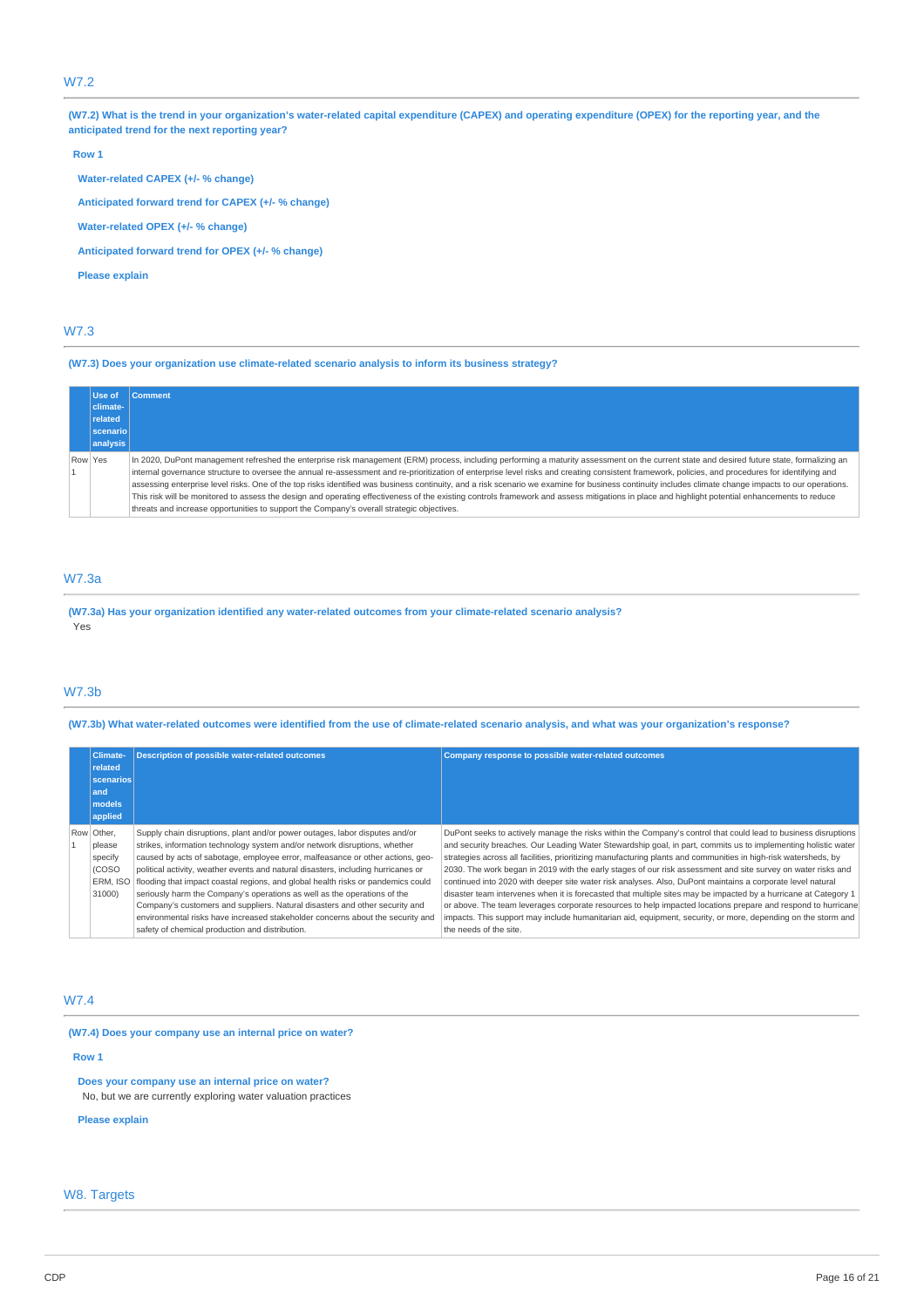# W7.2

(W7.2) What is the trend in your organization's water-related capital expenditure (CAPEX) and operating expenditure (OPEX) for the reporting year, and the **anticipated trend for the next reporting year?**

#### **Row 1**

**Water-related CAPEX (+/- % change)**

**Anticipated forward trend for CAPEX (+/- % change)**

**Water-related OPEX (+/- % change)**

**Anticipated forward trend for OPEX (+/- % change)**

**Please explain**

# W7.3

**(W7.3) Does your organization use climate-related scenario analysis to inform its business strategy?**

| Use of          | <b>Comment</b>                                                                                                                                                                                                                                                                                                                                                                                                                                                                                                                                                                                                                                                                                                                                                                                                                                                                                          |
|-----------------|---------------------------------------------------------------------------------------------------------------------------------------------------------------------------------------------------------------------------------------------------------------------------------------------------------------------------------------------------------------------------------------------------------------------------------------------------------------------------------------------------------------------------------------------------------------------------------------------------------------------------------------------------------------------------------------------------------------------------------------------------------------------------------------------------------------------------------------------------------------------------------------------------------|
| climate-        |                                                                                                                                                                                                                                                                                                                                                                                                                                                                                                                                                                                                                                                                                                                                                                                                                                                                                                         |
| related         |                                                                                                                                                                                                                                                                                                                                                                                                                                                                                                                                                                                                                                                                                                                                                                                                                                                                                                         |
| <b>Scenario</b> |                                                                                                                                                                                                                                                                                                                                                                                                                                                                                                                                                                                                                                                                                                                                                                                                                                                                                                         |
| analysis        |                                                                                                                                                                                                                                                                                                                                                                                                                                                                                                                                                                                                                                                                                                                                                                                                                                                                                                         |
| Row Yes         | In 2020, DuPont management refreshed the enterprise risk management (ERM) process, including performing a maturity assessment on the current state and desired future state, formalizing an<br>internal governance structure to oversee the annual re-assessment and re-prioritization of enterprise level risks and creating consistent framework, policies, and procedures for identifying and<br>assessing enterprise level risks. One of the top risks identified was business continuity, and a risk scenario we examine for business continuity includes climate change impacts to our operations.<br>This risk will be monitored to assess the design and operating effectiveness of the existing controls framework and assess mitigations in place and highlight potential enhancements to reduce<br>threats and increase opportunities to support the Company's overall strategic objectives. |

# W7.3a

**(W7.3a) Has your organization identified any water-related outcomes from your climate-related scenario analysis?** Yes

# W7.3b

(W7.3b) What water-related outcomes were identified from the use of climate-related scenario analysis, and what was your organization's response?

| <b>Climate-</b><br>related<br>scenarios<br>and<br>models<br>applied | <b>Description of possible water-related outcomes</b>                                                                                                                                                                                                                                                                                                                                                                                                                                                                                                                                                                                                                                                                | Company response to possible water-related outcomes                                                                                                                                                                                                                                                                                                                                                                                                                                                                                                                                                                                                                                                                                                                                                                                                                                                                                                           |
|---------------------------------------------------------------------|----------------------------------------------------------------------------------------------------------------------------------------------------------------------------------------------------------------------------------------------------------------------------------------------------------------------------------------------------------------------------------------------------------------------------------------------------------------------------------------------------------------------------------------------------------------------------------------------------------------------------------------------------------------------------------------------------------------------|---------------------------------------------------------------------------------------------------------------------------------------------------------------------------------------------------------------------------------------------------------------------------------------------------------------------------------------------------------------------------------------------------------------------------------------------------------------------------------------------------------------------------------------------------------------------------------------------------------------------------------------------------------------------------------------------------------------------------------------------------------------------------------------------------------------------------------------------------------------------------------------------------------------------------------------------------------------|
| Row Other,<br>please<br>specify<br>(COSO<br>ERM. ISO<br>31000)      | Supply chain disruptions, plant and/or power outages, labor disputes and/or<br>strikes, information technology system and/or network disruptions, whether<br>caused by acts of sabotage, employee error, malfeasance or other actions, geo-<br>political activity, weather events and natural disasters, including hurricanes or<br>flooding that impact coastal regions, and global health risks or pandemics could<br>seriously harm the Company's operations as well as the operations of the<br>Company's customers and suppliers. Natural disasters and other security and<br>environmental risks have increased stakeholder concerns about the security and<br>safety of chemical production and distribution. | DuPont seeks to actively manage the risks within the Company's control that could lead to business disruptions<br>and security breaches. Our Leading Water Stewardship goal, in part, commits us to implementing holistic water<br>strategies across all facilities, prioritizing manufacturing plants and communities in high-risk watersheds, by<br>2030. The work began in 2019 with the early stages of our risk assessment and site survey on water risks and<br>continued into 2020 with deeper site water risk analyses. Also, DuPont maintains a corporate level natural<br>disaster team intervenes when it is forecasted that multiple sites may be impacted by a hurricane at Category 1<br>or above. The team leverages corporate resources to help impacted locations prepare and respond to hurricane<br>impacts. This support may include humanitarian aid, equipment, security, or more, depending on the storm and<br>the needs of the site. |

# W7.4

**(W7.4) Does your company use an internal price on water?**

**Row 1**

**Does your company use an internal price on water?**

No, but we are currently exploring water valuation practices

**Please explain**

# W8. Targets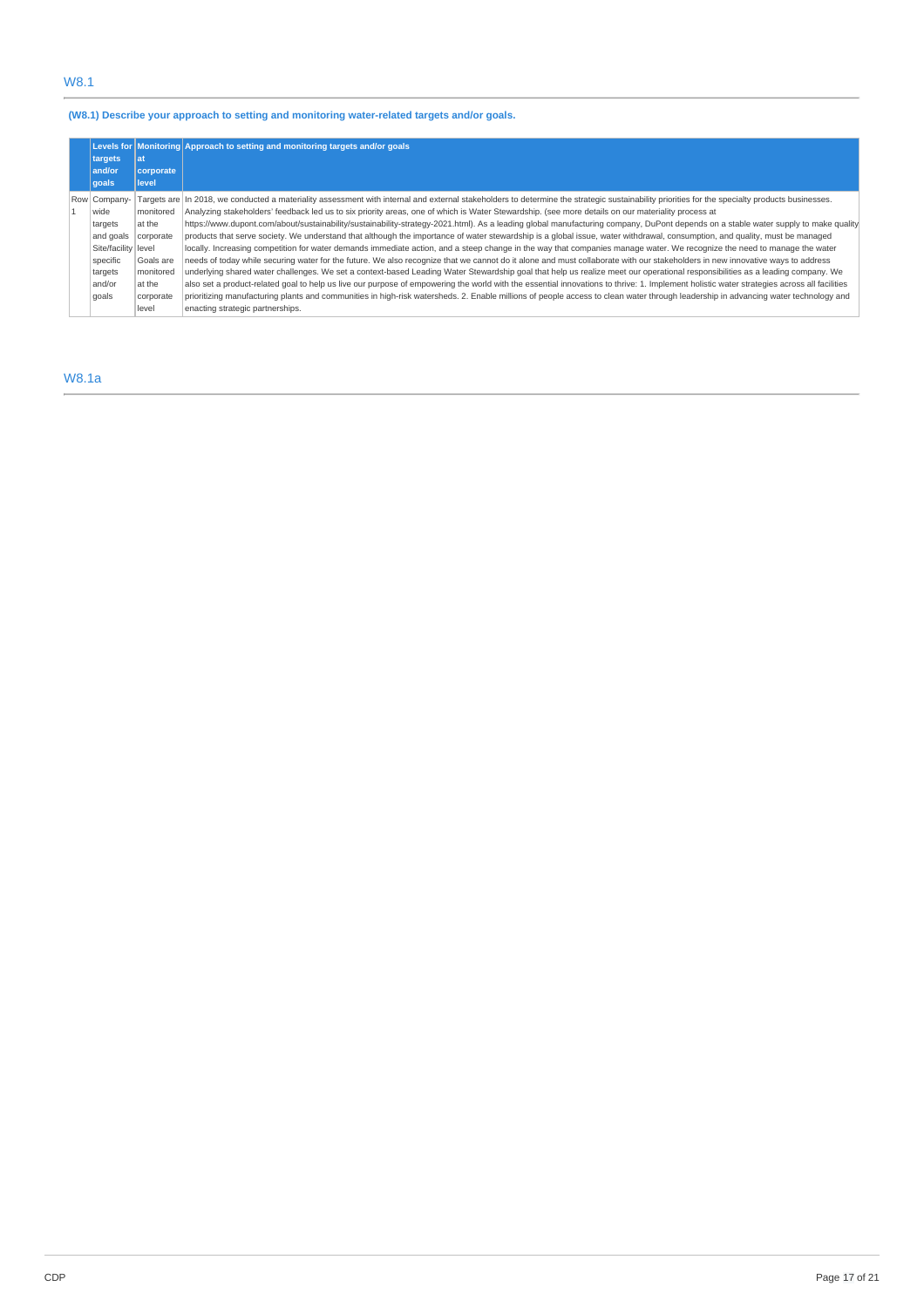# W8.1

# **(W8.1) Describe your approach to setting and monitoring water-related targets and/or goals.**

|                     |                   | Levels for Monitoring Approach to setting and monitoring targets and/or goals                                                                                                                   |
|---------------------|-------------------|-------------------------------------------------------------------------------------------------------------------------------------------------------------------------------------------------|
| targets<br>and/or   | l at<br>corporate |                                                                                                                                                                                                 |
| qoals               | level             |                                                                                                                                                                                                 |
| Row Company-        |                   | Targets are  In 2018, we conducted a materiality assessment with internal and external stakeholders to determine the strategic sustainability priorities for the specialty products businesses. |
| wide                | monitored         | Analyzing stakeholders' feedback led us to six priority areas, one of which is Water Stewardship. (see more details on our materiality process at                                               |
| targets             | at the            | https://www.dupont.com/about/sustainability/sustainability-strategy-2021.html). As a leading global manufacturing company, DuPont depends on a stable water supply to make quality              |
| and goals           | corporate         | products that serve society. We understand that although the importance of water stewardship is a global issue, water withdrawal, consumption, and quality, must be managed                     |
| Site/facility level |                   | locally. Increasing competition for water demands immediate action, and a steep change in the way that companies manage water. We recognize the need to manage the water                        |
| specific            | Goals are         | needs of today while securing water for the future. We also recognize that we cannot do it alone and must collaborate with our stakeholders in new innovative ways to address                   |
| targets             | monitored         | underlying shared water challenges. We set a context-based Leading Water Stewardship goal that help us realize meet our operational responsibilities as a leading company. We                   |
| and/or              | at the            | also set a product-related goal to help us live our purpose of empowering the world with the essential innovations to thrive: 1. Implement holistic water strategies across all facilities      |
| goals               | corporate         | prioritizing manufacturing plants and communities in high-risk watersheds. 2. Enable millions of people access to clean water through leadership in advancing water technology and              |
|                     | level             | enacting strategic partnerships.                                                                                                                                                                |

# W8.1a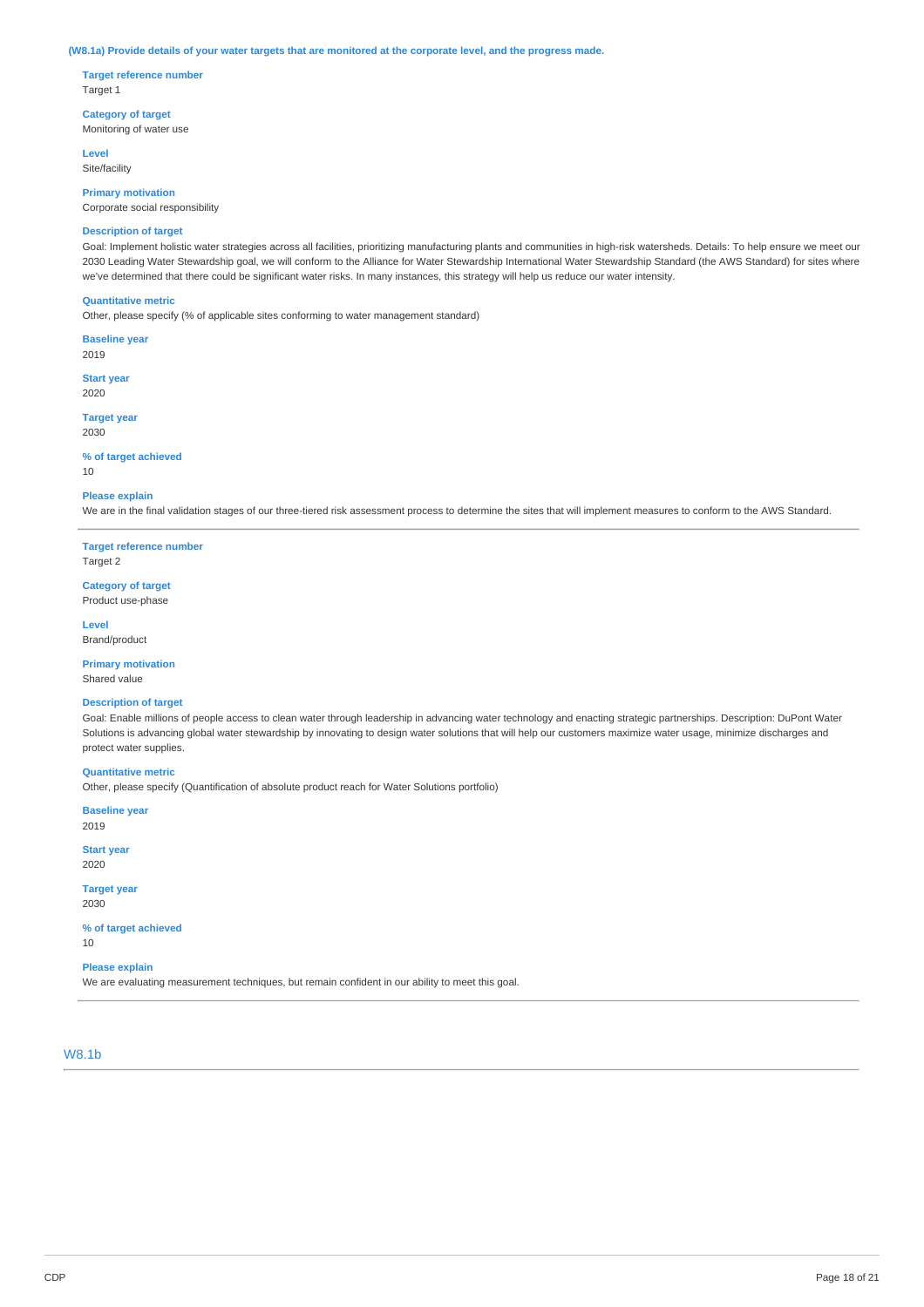#### (W8.1a) Provide details of your water targets that are monitored at the corporate level, and the progress made.

**Target reference number** Target 1

**Category of target** Monitoring of water use

**Level** Site/facility

**Primary motivation** Corporate social responsibility

### **Description of target**

Goal: Implement holistic water strategies across all facilities, prioritizing manufacturing plants and communities in high-risk watersheds. Details: To help ensure we meet our 2030 Leading Water Stewardship goal, we will conform to the Alliance for Water Stewardship International Water Stewardship Standard (the AWS Standard) for sites where we've determined that there could be significant water risks. In many instances, this strategy will help us reduce our water intensity.

### **Quantitative metric**

Other, please specify (% of applicable sites conforming to water management standard)

**Baseline year**

2019

**Start year** 2020

**Target year** 2030

### **% of target achieved**

10

#### **Please explain**

We are in the final validation stages of our three-tiered risk assessment process to determine the sites that will implement measures to conform to the AWS Standard.

**Target reference number** Target 2

**Category of target** Product use-phase

**Level** Brand/product

**Primary motivation** Shared value

# **Description of target**

Goal: Enable millions of people access to clean water through leadership in advancing water technology and enacting strategic partnerships. Description: DuPont Water Solutions is advancing global water stewardship by innovating to design water solutions that will help our customers maximize water usage, minimize discharges and protect water supplies.

# **Quantitative metric**

Other, please specify (Quantification of absolute product reach for Water Solutions portfolio)

**Baseline year** 2019

**Start year** 2020

**Target year** 2030

#### **% of target achieved** 10

# **Please explain**

We are evaluating measurement techniques, but remain confident in our ability to meet this goal.

# W8.1b